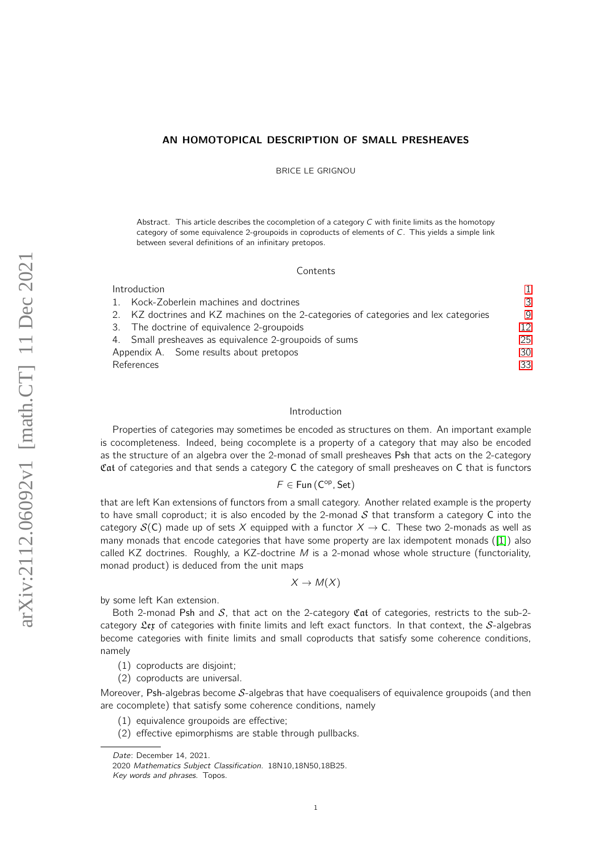# AN HOMOTOPICAL DESCRIPTION OF SMALL PRESHEAVES

BRICE LE GRIGNOU

Abstract. This article describes the cocompletion of a category  $C$  with finite limits as the homotopy category of some equivalence 2-groupoids in coproducts of elements of C. This yields a simple link between several definitions of an infinitary pretopos.

#### **Contents**

| Introduction                                                                         |    |  |  |  |  |
|--------------------------------------------------------------------------------------|----|--|--|--|--|
| 1. Kock-Zoberlein machines and doctrines                                             | 3  |  |  |  |  |
| 2. KZ doctrines and KZ machines on the 2-categories of categories and lex categories | q  |  |  |  |  |
| 3. The doctrine of equivalence 2-groupoids                                           | 12 |  |  |  |  |
| 4. Small presheaves as equivalence 2-groupoids of sums                               | 25 |  |  |  |  |
| Appendix A. Some results about pretopos                                              | 30 |  |  |  |  |
| References                                                                           | 33 |  |  |  |  |
|                                                                                      |    |  |  |  |  |

#### <span id="page-0-0"></span>Introduction

Properties of categories may sometimes be encoded as structures on them. An important example is cocompleteness. Indeed, being cocomplete is a property of a category that may also be encoded as the structure of an algebra over the 2-monad of small presheaves Psh that acts on the 2-category Cat of categories and that sends a category C the category of small presheaves on C that is functors

 $F \in Fun (C^{op}, Set)$ 

that are left Kan extensions of functors from a small category. Another related example is the property to have small coproduct; it is also encoded by the 2-monad  $S$  that transform a category C into the category  $S(C)$  made up of sets X equipped with a functor  $X \to C$ . These two 2-monads as well as many monads that encode categories that have some property are lax idempotent monads ([\[1\]](#page-32-1)) also called KZ doctrines. Roughly, a KZ-doctrine  $M$  is a 2-monad whose whole structure (functoriality, monad product) is deduced from the unit maps

$$
X \to M(X)
$$

by some left Kan extension.

Both 2-monad Psh and S, that act on the 2-category Cat of categories, restricts to the sub-2category  $\mathfrak{L}$ ex of categories with finite limits and left exact functors. In that context, the S-algebras become categories with finite limits and small coproducts that satisfy some coherence conditions, namely

- (1) coproducts are disjoint;
- (2) coproducts are universal.

Moreover, Psh-algebras become  $S$ -algebras that have coequalisers of equivalence groupoids (and then are cocomplete) that satisfy some coherence conditions, namely

- (1) equivalence groupoids are effective;
- (2) effective epimorphisms are stable through pullbacks.

Date: December 14, 2021.

<sup>2020</sup> Mathematics Subject Classification. 18N10,18N50,18B25.

Key words and phrases. Topos.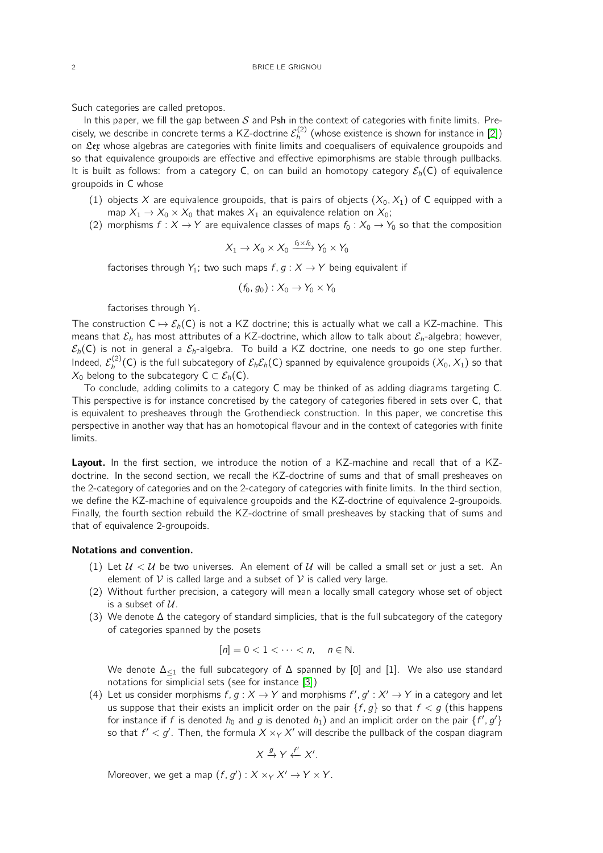Such categories are called pretopos.

In this paper, we fill the gap between  $S$  and Psh in the context of categories with finite limits. Precisely, we describe in concrete terms a KZ-doctrine  $\mathcal{E}_h^{(2)}$  (whose existence is shown for instance in [\[2\]](#page-32-2)) on  $\mathfrak{L}$ ex whose algebras are categories with finite limits and coequalisers of equivalence groupoids and so that equivalence groupoids are effective and effective epimorphisms are stable through pullbacks. It is built as follows: from a category C, on can build an homotopy category  $\mathcal{E}_h(C)$  of equivalence groupoids in C whose

- (1) objects X are equivalence groupoids, that is pairs of objects  $(X_0, X_1)$  of C equipped with a map  $X_1 \rightarrow X_0 \times X_0$  that makes  $X_1$  an equivalence relation on  $X_0$ ;
- (2) morphisms  $f : X \to Y$  are equivalence classes of maps  $f_0 : X_0 \to Y_0$  so that the composition

$$
X_1 \to X_0 \times X_0 \xrightarrow{f_0 \times f_0} Y_0 \times Y_0
$$

factorises through  $Y_1$ ; two such maps  $f, g: X \rightarrow Y$  being equivalent if

$$
(f_0,g_0):X_0\to Y_0\times Y_0
$$

factorises through  $Y_1$ .

The construction  $C \mapsto \mathcal{E}_h(C)$  is not a KZ doctrine; this is actually what we call a KZ-machine. This means that  $\mathcal{E}_h$  has most attributes of a KZ-doctrine, which allow to talk about  $\mathcal{E}_h$ -algebra; however,  $\mathcal{E}_h(C)$  is not in general a  $\mathcal{E}_h$ -algebra. To build a KZ doctrine, one needs to go one step further. Indeed,  $\mathcal{E}_h^{(2)}(\mathsf{C})$  is the full subcategory of  $\mathcal{E}_h\mathcal{E}_h(\mathsf{C})$  spanned by equivalence groupoids  $(X_0,X_1)$  so that  $X_0$  belong to the subcategory  $C \subset \mathcal{E}_h(C)$ .

To conclude, adding colimits to a category C may be thinked of as adding diagrams targeting C. This perspective is for instance concretised by the category of categories fibered in sets over C, that is equivalent to presheaves through the Grothendieck construction. In this paper, we concretise this perspective in another way that has an homotopical flavour and in the context of categories with finite limits.

Layout. In the first section, we introduce the notion of a KZ-machine and recall that of a KZdoctrine. In the second section, we recall the KZ-doctrine of sums and that of small presheaves on the 2-category of categories and on the 2-category of categories with finite limits. In the third section, we define the KZ-machine of equivalence groupoids and the KZ-doctrine of equivalence 2-groupoids. Finally, the fourth section rebuild the KZ-doctrine of small presheaves by stacking that of sums and that of equivalence 2-groupoids.

#### Notations and convention.

- (1) Let  $U < U$  be two universes. An element of U will be called a small set or just a set. An element of  $V$  is called large and a subset of  $V$  is called very large.
- (2) Without further precision, a category will mean a locally small category whose set of object is a subset of  $U$ .
- (3) We denote ∆ the category of standard simplicies, that is the full subcategory of the category of categories spanned by the posets

$$
[n] = 0 < 1 < \cdots < n, \quad n \in \mathbb{N}.
$$

We denote  $\Delta_{\leq 1}$  the full subcategory of  $\Delta$  spanned by [0] and [1]. We also use standard notations for simplicial sets (see for instance [\[3\]](#page-32-3))

(4) Let us consider morphisms  $f, g: X \to Y$  and morphisms  $f', g' : X' \to Y$  in a category and let us suppose that their exists an implicit order on the pair  $\{f, g\}$  so that  $f < g$  (this happens for instance if f is denoted  $h_0$  and g is denoted  $h_1$ ) and an implicit order on the pair  $\{f', g'\}$ so that  $f' < g'$ . Then, the formula  $X \times_Y X'$  will describe the pullback of the cospan diagram

$$
X \xrightarrow{g} Y \xleftarrow{f'} X'.
$$

Moreover, we get a map  $(f, g') : X \times_Y X' \to Y \times Y$ .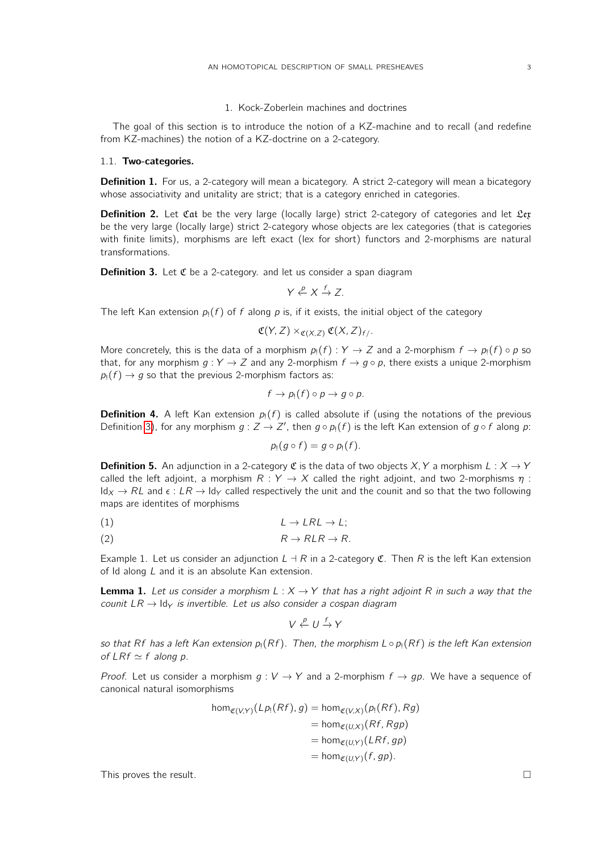### 1. Kock-Zoberlein machines and doctrines

<span id="page-2-0"></span>The goal of this section is to introduce the notion of a KZ-machine and to recall (and redefine from KZ-machines) the notion of a KZ-doctrine on a 2-category.

### 1.1. Two-categories.

**Definition 1.** For us, a 2-category will mean a bicategory. A strict 2-category will mean a bicategory whose associativity and unitality are strict; that is a category enriched in categories.

**Definition 2.** Let  $\mathfrak{Cat}$  be the very large (locally large) strict 2-category of categories and let  $\mathfrak{L}$ ex be the very large (locally large) strict 2-category whose objects are lex categories (that is categories with finite limits), morphisms are left exact (lex for short) functors and 2-morphisms are natural transformations.

<span id="page-2-1"></span>**Definition 3.** Let  $\mathfrak C$  be a 2-category. and let us consider a span diagram

$$
Y \xleftarrow{p} X \xrightarrow{f} Z.
$$

The left Kan extension  $p_1(f)$  of f along p is, if it exists, the initial object of the category

$$
\mathfrak{C}(Y,Z)\times_{\mathfrak{C}(X,Z)}\mathfrak{C}(X,Z)_{f/}.
$$

More concretely, this is the data of a morphism  $p_1(f) : Y \to Z$  and a 2-morphism  $f \to p_1(f) \circ p$  so that, for any morphism  $g: Y \to Z$  and any 2-morphism  $f \to g \circ p$ , there exists a unique 2-morphism  $p_1(f) \rightarrow g$  so that the previous 2-morphism factors as:

$$
f\rightarrow p_!(f)\circ p\rightarrow g\circ p.
$$

**Definition 4.** A left Kan extension  $p_1(f)$  is called absolute if (using the notations of the previous Definition [3\)](#page-2-1), for any morphism  $g: Z \to Z'$ , then  $g \circ p_1(f)$  is the left Kan extension of  $g \circ f$  along p:

$$
p_1(g\circ f)=g\circ p_1(f).
$$

**Definition 5.** An adjunction in a 2-category  $\mathfrak{C}$  is the data of two objects X, Y a morphism  $L : X \rightarrow Y$ called the left adjoint, a morphism  $R: Y \rightarrow X$  called the right adjoint, and two 2-morphisms  $\eta$ :  $Id_X \to RL$  and  $\epsilon : LR \to Id_Y$  called respectively the unit and the counit and so that the two following maps are identites of morphisms

$$
(1) \tL \to LRL \to L;
$$

$$
(2) \t\t R \to RLR \to R.
$$

Example 1. Let us consider an adjunction  $L \dashv R$  in a 2-category C. Then R is the left Kan extension of Id along L and it is an absolute Kan extension.

<span id="page-2-2"></span>**Lemma 1.** Let us consider a morphism  $L : X \rightarrow Y$  that has a right adjoint R in such a way that the counit  $LR \rightarrow \text{Id}_Y$  is invertible. Let us also consider a cospan diagram

$$
V \xleftarrow{p} U \xrightarrow{f} Y
$$

so that Rf has a left Kan extension  $p_1(Rf)$ . Then, the morphism  $L \circ p_1(Rf)$  is the left Kan extension of  $LRf \simeq f$  along p.

*Proof.* Let us consider a morphism  $g: V \to Y$  and a 2-morphism  $f \to gp$ . We have a sequence of canonical natural isomorphisms

$$
\begin{aligned} \text{hom}_{\mathfrak{C}(V,Y)}(Lp_!(Rf), g) &= \text{hom}_{\mathfrak{C}(V,X)}(p_!(Rf), Rg) \\ &= \text{hom}_{\mathfrak{C}(U,X)}(Rf, Rgp) \\ &= \text{hom}_{\mathfrak{C}(U,Y)}(LRf, gp) \\ &= \text{hom}_{\mathfrak{C}(U,Y)}(f, gp). \end{aligned}
$$

This proves the result.  $\Box$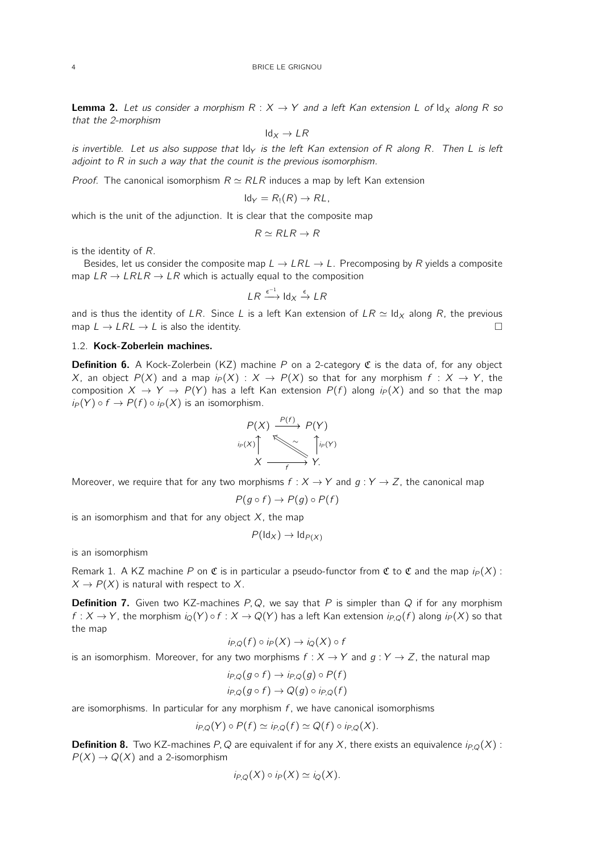<span id="page-3-0"></span>**Lemma 2.** Let us consider a morphism  $R: X \rightarrow Y$  and a left Kan extension L of  $\mathsf{Id}_X$  along R so that the 2-morphism

$$
\text{Id}_X \to \text{LR}
$$

is invertible. Let us also suppose that  $\mathsf{Id}_Y$  is the left Kan extension of R along R. Then L is left adjoint to R in such a way that the counit is the previous isomorphism.

*Proof.* The canonical isomorphism  $R \simeq RLR$  induces a map by left Kan extension

$$
Id_Y = R_1(R) \to RL,
$$

which is the unit of the adjunction. It is clear that the composite map

$$
R \simeq RLR \rightarrow R
$$

is the identity of R.

Besides, let us consider the composite map  $L \to LRL \to L$ . Precomposing by R yields a composite map  $LR \rightarrow LRLR \rightarrow LR$  which is actually equal to the composition

$$
LR \xrightarrow{\epsilon^{-1}} \text{Id}_X \xrightarrow{\epsilon} LR
$$

and is thus the identity of LR. Since L is a left Kan extension of  $LR \simeq \text{Id}_X$  along R, the previous map  $L \to LRL \to L$  is also the identity.

#### 1.2. Kock-Zoberlein machines.

**Definition 6.** A Kock-Zolerbein (KZ) machine P on a 2-category  $\mathfrak{C}$  is the data of, for any object X, an object  $P(X)$  and a map  $i_P(X) : X \to P(X)$  so that for any morphism  $f : X \to Y$ , the composition  $X \to Y \to P(Y)$  has a left Kan extension  $P(f)$  along  $i_P(X)$  and so that the map  $i_P(Y) \circ f \to P(f) \circ i_P(X)$  is an isomorphism.

$$
P(X) \xrightarrow{P(f)} P(Y)
$$
  
\n
$$
{}^{ip(X)} \sum_{f} \sum_{r} p(f)
$$
  
\n
$$
X \xrightarrow{p} Y.
$$

Moreover, we require that for any two morphisms  $f : X \to Y$  and  $g : Y \to Z$ , the canonical map

$$
P(g \circ f) \to P(g) \circ P(f)
$$

is an isomorphism and that for any object  $X$ , the map

$$
P(\mathrm{Id}_X) \to \mathrm{Id}_{P(X)}
$$

is an isomorphism

Remark 1. A KZ machine P on C is in particular a pseudo-functor from C to C and the map  $i_P(X)$ :  $X \to P(X)$  is natural with respect to X.

**Definition 7.** Given two KZ-machines  $P, Q$ , we say that P is simpler than Q if for any morphism  $f: X \to Y$ , the morphism  $i_Q(Y) \circ f: X \to Q(Y)$  has a left Kan extension  $i_{P,Q}(f)$  along  $i_P(X)$  so that the map

$$
i_{P,Q}(f) \circ i_P(X) \to i_Q(X) \circ f
$$

is an isomorphism. Moreover, for any two morphisms  $f : X \to Y$  and  $g : Y \to Z$ , the natural map

$$
i_{P,Q}(g \circ f) \to i_{P,Q}(g) \circ P(f)
$$
  

$$
i_{P,Q}(g \circ f) \to Q(g) \circ i_{P,Q}(f)
$$

are isomorphisms. In particular for any morphism  $f$ , we have canonical isomorphisms

$$
i_{P,Q}(Y) \circ P(f) \simeq i_{P,Q}(f) \simeq Q(f) \circ i_{P,Q}(X).
$$

**Definition 8.** Two KZ-machines P, Q are equivalent if for any X, there exists an equivalence  $i_{P,Q}(X)$ :  $P(X) \rightarrow Q(X)$  and a 2-isomorphism

$$
i_{P,Q}(X) \circ i_P(X) \simeq i_Q(X).
$$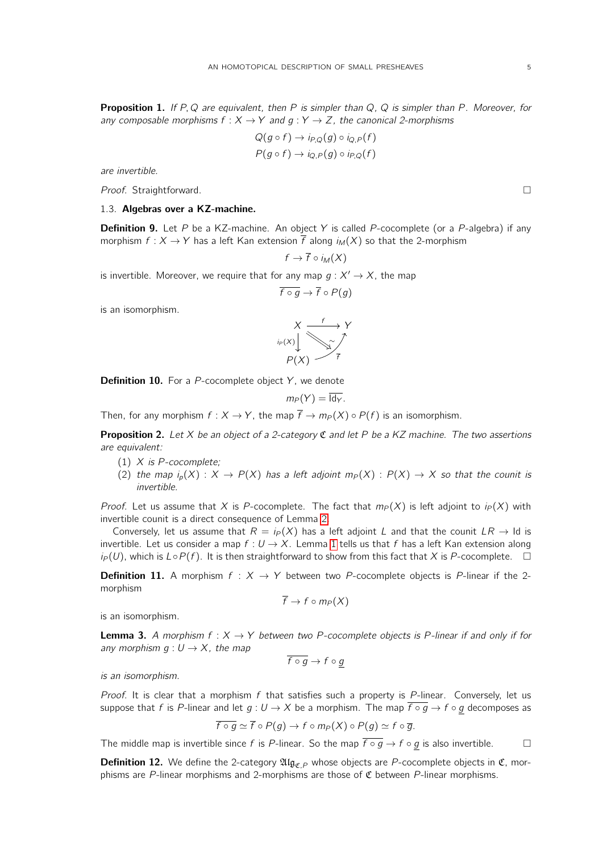**Proposition 1.** If P, Q are equivalent, then P is simpler than Q, Q is simpler than P. Moreover, for any composable morphisms  $f : X \to Y$  and  $g : Y \to Z$ , the canonical 2-morphisms

$$
Q(g \circ f) \to i_{P,Q}(g) \circ i_{Q,P}(f)
$$
  

$$
P(g \circ f) \to i_{Q,P}(g) \circ i_{P,Q}(f)
$$

are invertible.

Proof. Straightforward.

## 1.3. Algebras over a KZ-machine.

**Definition 9.** Let P be a KZ-machine. An object Y is called P-cocomplete (or a P-algebra) if any morphism  $f : X \to Y$  has a left Kan extension  $\overline{f}$  along  $i_M(X)$  so that the 2-morphism

$$
f \to \overline{f} \circ i_M(X)
$$

is invertible. Moreover, we require that for any map  $g: X' \to X$ , the map

$$
\overline{f\circ g}\to \overline{f}\circ P(g)
$$

is an isomorphism.

$$
X \xrightarrow{f} Y
$$
  
\n
$$
{}^{ip(X)} \downarrow \searrow \searrow
$$
  
\n
$$
P(X) \xrightarrow{f} \overline{f}
$$

**Definition 10.** For a  $P$ -cocomplete object  $Y$ , we denote

$$
m_P(Y)=\overline{\mathrm{Id}_Y}.
$$

Then, for any morphism  $f : X \to Y$ , the map  $\overline{f} \to m_P(X) \circ P(f)$  is an isomorphism.

<span id="page-4-0"></span>**Proposition 2.** Let X be an object of a 2-category  $\mathfrak C$  and let P be a KZ machine. The two assertions are equivalent:

- (1)  $X$  is P-cocomplete;
- (2) the map  $i_p(X)$  :  $X \to P(X)$  has a left adjoint  $m_P(X)$  :  $P(X) \to X$  so that the counit is invertible.

*Proof.* Let us assume that X is P-cocomplete. The fact that  $m_P(X)$  is left adjoint to  $i_P(X)$  with invertible counit is a direct consequence of Lemma [2.](#page-3-0)

Conversely, let us assume that  $R = i_P(X)$  has a left adjoint L and that the counit  $LR \rightarrow$  Id is invertible. Let us consider a map  $f: U \rightarrow X$ . Lemma [1](#page-2-2) tells us that f has a left Kan extension along  $i_P(U)$ , which is  $L \circ P(f)$ . It is then straightforward to show from this fact that X is P-cocomplete.  $\square$ 

**Definition 11.** A morphism  $f : X \rightarrow Y$  between two P-cocomplete objects is P-linear if the 2morphism

$$
\overline{f} \to f \circ m_P(X)
$$

is an isomorphism.

<span id="page-4-1"></span>**Lemma 3.** A morphism  $f: X \rightarrow Y$  between two P-cocomplete objects is P-linear if and only if for any morphism  $q: U \rightarrow X$ , the map

$$
\overline{f \circ g} \to f \circ g
$$

is an isomorphism.

Proof. It is clear that a morphism f that satisfies such a property is  $P$ -linear. Conversely, let us suppose that f is P-linear and let  $g: U \to X$  be a morphism. The map  $\overline{f \circ g} \to f \circ g$  decomposes as

$$
f\circ g\simeq f\circ P(g)\to f\circ m_P(X)\circ P(g)\simeq f\circ \overline{g}.
$$

The middle map is invertible since f is P-linear. So the map  $\overline{f \circ g} \to f \circ g$  is also invertible.  $\Box$ 

**Definition 12.** We define the 2-category  $\mathfrak{Alg}_{\mathfrak{C},P}$  whose objects are P-cocomplete objects in  $\mathfrak{C}$ , morphisms are P-linear morphisms and 2-morphisms are those of  $\mathfrak C$  between P-linear morphisms.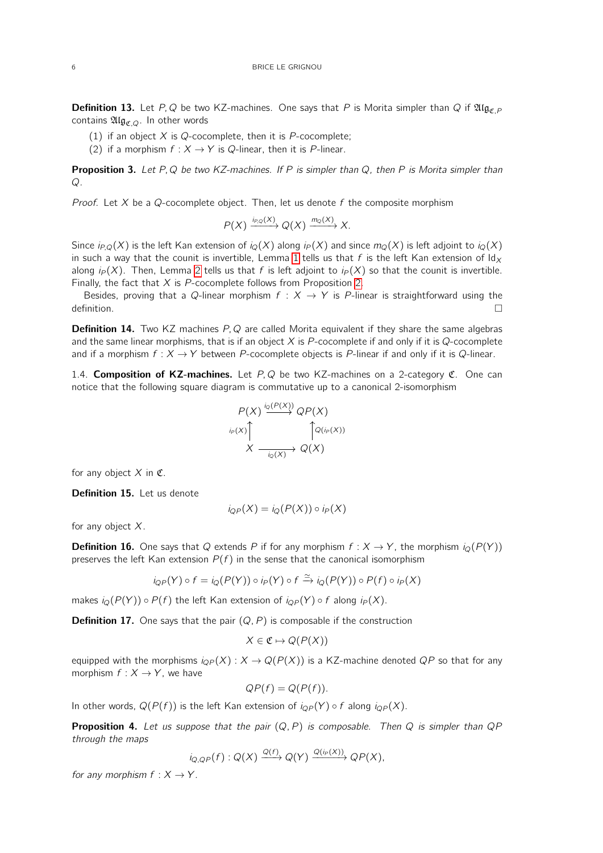**Definition 13.** Let P, Q be two KZ-machines. One says that P is Morita simpler than Q if  $\mathfrak{Alg}_{\mathcal{F}P}$ contains  $\mathfrak{Alg}_{\mathfrak{C},Q}$ . In other words

- (1) if an object  $X$  is Q-cocomplete, then it is P-cocomplete;
- (2) if a morphism  $f : X \to Y$  is Q-linear, then it is P-linear.

<span id="page-5-1"></span>**Proposition 3.** Let P, Q be two KZ-machines. If P is simpler than Q, then P is Morita simpler than  $\Omega$ .

*Proof.* Let  $X$  be a  $Q$ -cocomplete object. Then, let us denote f the composite morphism

 $P(X) \xrightarrow{i_{P,Q}(X)} Q(X) \xrightarrow{m_Q(X)} X.$ 

Since  $i_{P,Q}(X)$  is the left Kan extension of  $i_Q(X)$  along  $i_P(X)$  and since  $m_Q(X)$  is left adjoint to  $i_Q(X)$ in such a way that the counit is invertible, Lemma [1](#page-2-2) tells us that f is the left Kan extension of  $\mathrm{Id}_X$ along  $i_P(X)$ . Then, Lemma [2](#page-3-0) tells us that f is left adjoint to  $i_P(X)$  so that the counit is invertible. Finally, the fact that  $X$  is P-cocomplete follows from Proposition [2.](#page-4-0)

Besides, proving that a Q-linear morphism  $f : X \rightarrow Y$  is P-linear is straightforward using the  $\Box$ 

**Definition 14.** Two KZ machines P, Q are called Morita equivalent if they share the same algebras and the same linear morphisms, that is if an object  $X$  is P-cocomplete if and only if it is Q-cocomplete and if a morphism  $f : X \to Y$  between P-cocomplete objects is P-linear if and only if it is Q-linear.

1.4. **Composition of KZ-machines.** Let  $P, Q$  be two KZ-machines on a 2-category  $C$ . One can notice that the following square diagram is commutative up to a canonical 2-isomorphism

$$
P(X) \xrightarrow{i_Q(P(X))} QP(X)
$$
  
\n
$$
X \xrightarrow[i_Q(X))} Q(X)
$$
  
\n
$$
Q(X)
$$

for any object  $X$  in  $\mathfrak{C}$ .

Definition 15. Let us denote

$$
i_{QP}(X) = i_Q(P(X)) \circ i_P(X)
$$

for any object  $X$ .

**Definition 16.** One says that Q extends P if for any morphism  $f : X \to Y$ , the morphism  $i_{\mathcal{O}}(P(Y))$ preserves the left Kan extension  $P(f)$  in the sense that the canonical isomorphism

$$
i_{QP}(Y) \circ f = i_Q(P(Y)) \circ i_P(Y) \circ f \xrightarrow{\simeq} i_Q(P(Y)) \circ P(f) \circ i_P(X)
$$

makes  $i_Q(P(Y)) \circ P(f)$  the left Kan extension of  $i_{QP}(Y) \circ f$  along  $i_P(X)$ .

**Definition 17.** One says that the pair  $(Q, P)$  is composable if the construction

$$
X \in \mathfrak{C} \mapsto Q(P(X))
$$

equipped with the morphisms  $i_{QP}(X) : X \to Q(P(X))$  is a KZ-machine denoted QP so that for any morphism  $f : X \rightarrow Y$ , we have

$$
QP(f) = Q(P(f)).
$$

In other words,  $Q(P(f))$  is the left Kan extension of  $i_{QP}(Y) \circ f$  along  $i_{QP}(X)$ .

<span id="page-5-0"></span>**Proposition 4.** Let us suppose that the pair  $(Q, P)$  is composable. Then Q is simpler than  $QP$ through the maps

$$
i_{Q,QP}(f):Q(X)\xrightarrow{Q(f)}Q(Y)\xrightarrow{Q(i_P(X))}QP(X),
$$

for any morphism  $f : X \to Y$ .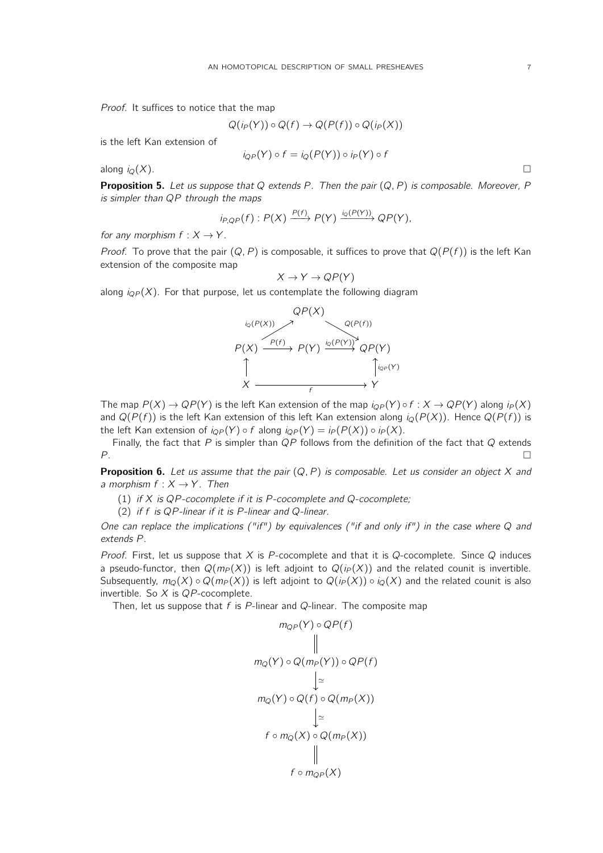Proof. It suffices to notice that the map

$$
Q(i_P(Y)) \circ Q(f) \to Q(P(f)) \circ Q(i_P(X))
$$

is the left Kan extension of

$$
i_{QP}(Y) \circ f = i_Q(P(Y)) \circ i_P(Y) \circ f
$$

along  $i_Q(X)$ .

<span id="page-6-0"></span>**Proposition 5.** Let us suppose that Q extends P. Then the pair  $(Q, P)$  is composable. Moreover, P is simpler than QP through the maps

$$
i_{P,QP}(f): P(X) \xrightarrow{P(f)} P(Y) \xrightarrow{i_Q(P(Y))} QP(Y),
$$

for any morphism  $f: X \rightarrow Y$ .

*Proof.* To prove that the pair  $(Q, P)$  is composable, it suffices to prove that  $Q(P(f))$  is the left Kan extension of the composite map

$$
X \to Y \to QP(Y)
$$

along  $i_{QP}(X)$ . For that purpose, let us contemplate the following diagram



The map  $P(X) \to QP(Y)$  is the left Kan extension of the map  $i_{QP}(Y) \circ f : X \to QP(Y)$  along  $i_P(X)$ and  $Q(P(f))$  is the left Kan extension of this left Kan extension along  $i_Q(P(X))$ . Hence  $Q(P(f))$  is the left Kan extension of  $i_{QP}(Y) \circ f$  along  $i_{QP}(Y) = i_P(P(X)) \circ i_P(X)$ .

Finally, the fact that  $P$  is simpler than  $QP$  follows from the definition of the fact that  $Q$  extends  $P$ .

**Proposition 6.** Let us assume that the pair  $(Q, P)$  is composable. Let us consider an object X and a morphism  $f : X \rightarrow Y$ . Then

(1) if  $X$  is QP-cocomplete if it is P-cocomplete and Q-cocomplete;

(2) if f is QP-linear if it is P-linear and Q-linear.

One can replace the implications ("if") by equivalences ("if and only if") in the case where Q and extends P.

Proof. First, let us suppose that  $X$  is P-cocomplete and that it is Q-cocomplete. Since Q induces a pseudo-functor, then  $Q(m_P(X))$  is left adjoint to  $Q(p(X))$  and the related counit is invertible. Subsequently,  $m_Q(X) \circ Q(m_P(X))$  is left adjoint to  $Q(p(X)) \circ i_Q(X)$  and the related counit is also invertible. So  $X$  is  $QP$ -cocomplete.

Then, let us suppose that  $f$  is P-linear and Q-linear. The composite map

$$
m_{QP}(Y) \circ QP(f)
$$
\n
$$
\parallel
$$
\n
$$
m_Q(Y) \circ Q(m_P(Y)) \circ QP(f)
$$
\n
$$
\downarrow \simeq
$$
\n
$$
m_Q(Y) \circ Q(f) \circ Q(m_P(X))
$$
\n
$$
\downarrow \simeq
$$
\n
$$
f \circ m_Q(X) \circ Q(m_P(X))
$$
\n
$$
\parallel
$$
\n
$$
f \circ m_{QP}(X)
$$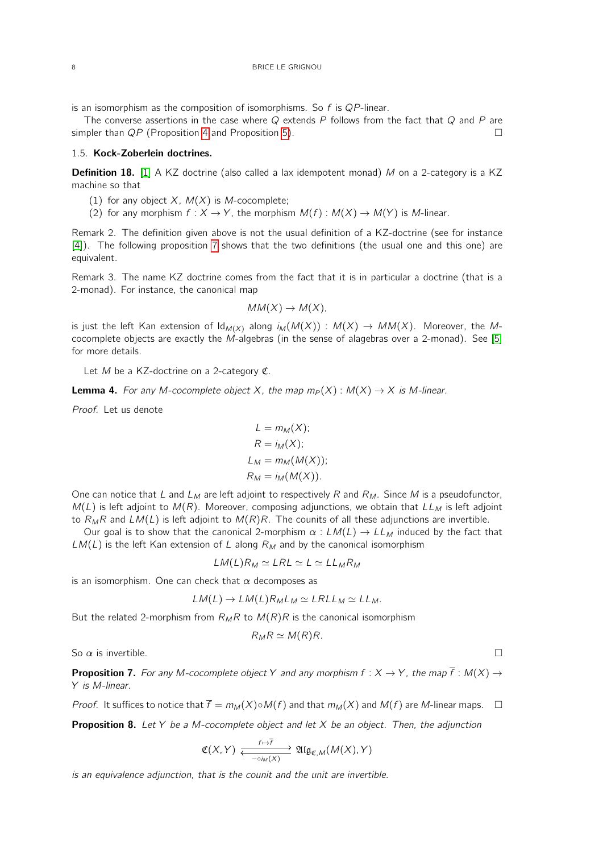is an isomorphism as the composition of isomorphisms. So  $f$  is  $QP$ -linear.

The converse assertions in the case where  $Q$  extends P follows from the fact that  $Q$  and P are simpler than  $QP$  (Proposition [4](#page-5-0) and Proposition [5\)](#page-6-0).

### 1.5. Kock-Zoberlein doctrines.

**Definition 18.** [\[1\]](#page-32-1) A KZ doctrine (also called a lax idempotent monad) M on a 2-category is a KZ machine so that

- (1) for any object  $X$ ,  $M(X)$  is M-cocomplete;
- (2) for any morphism  $f : X \to Y$ , the morphism  $M(f) : M(X) \to M(Y)$  is M-linear.

Remark 2. The definition given above is not the usual definition of a KZ-doctrine (see for instance [\[4\]](#page-32-4)). The following proposition [7](#page-7-0) shows that the two definitions (the usual one and this one) are equivalent.

Remark 3. The name KZ doctrine comes from the fact that it is in particular a doctrine (that is a 2-monad). For instance, the canonical map

$$
MM(X) \to M(X),
$$

is just the left Kan extension of  $\text{Id}_{M(X)}$  along  $i_M(M(X)) : M(X) \to MM(X)$ . Moreover, the Mcocomplete objects are exactly the M-algebras (in the sense of alagebras over a 2-monad). See [\[5\]](#page-32-5) for more details.

Let M be a KZ-doctrine on a 2-category  $\mathfrak{C}$ .

**Lemma 4.** For any M-cocomplete object X, the map  $m_P(X) : M(X) \to X$  is M-linear.

Proof. Let us denote

$$
L = m_M(X);
$$
  
\n
$$
R = i_M(X);
$$
  
\n
$$
L_M = m_M(M(X));
$$
  
\n
$$
R_M = i_M(M(X)).
$$

One can notice that L and  $L_M$  are left adjoint to respectively R and  $R_M$ . Since M is a pseudofunctor,  $M(L)$  is left adjoint to  $M(R)$ . Moreover, composing adjunctions, we obtain that  $LL_M$  is left adjoint to  $R_MR$  and  $LM(L)$  is left adjoint to  $M(R)R$ . The counits of all these adjunctions are invertible.

Our goal is to show that the canonical 2-morphism  $\alpha : LM(L) \rightarrow LL_M$  induced by the fact that  $LM(L)$  is the left Kan extension of L along  $R_M$  and by the canonical isomorphism

$$
LM(L)R_M \simeq LRL \simeq L \simeq LL_MR_M
$$

is an isomorphism. One can check that  $\alpha$  decomposes as

$$
LM(L) \to LM(L)R_{M}L_{M} \simeq LRLL_{M} \simeq LL_{M}.
$$

But the related 2-morphism from  $R_M R$  to  $M(R)R$  is the canonical isomorphism

$$
R_M R \simeq M(R)R.
$$

So  $\alpha$  is invertible.

<span id="page-7-0"></span>**Proposition 7.** For any M-cocomplete object Y and any morphism  $f : X \to Y$ , the map  $\overline{f} : M(X) \to$ Y is M-linear.

*Proof.* It suffices to notice that  $\overline{f} = m_M(X) \circ M(f)$  and that  $m_M(X)$  and  $M(f)$  are M-linear maps.  $\Box$ 

<span id="page-7-1"></span>**Proposition 8.** Let Y be a M-cocomplete object and let X be an object. Then, the adjunction

$$
\mathfrak{C}(X,Y) \xrightarrow[\hspace{0.5em}\text{--}\hspace{0.5em}\text{--}\hspace{0.5em}\text{--}\hspace{0.5em}\text{--}\hspace{0.5em}\text{--}\hspace{0.5em}}^{\text{f}\mapsto\overline{f}} \mathfrak{Alg}_{\mathfrak{C},M}(M(X),Y)
$$

is an equivalence adjunction, that is the counit and the unit are invertible.

$$
\sqcup
$$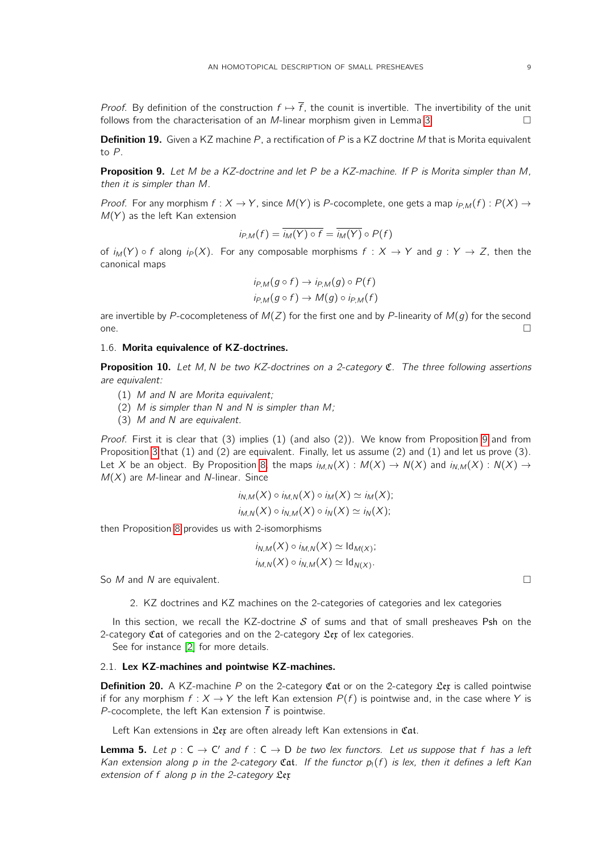*Proof.* By definition of the construction  $f \mapsto \overline{f}$ , the counit is invertible. The invertibility of the unit follows from the characterisation of an *M*-linear morphism given in Lemma [3.](#page-4-1)

**Definition 19.** Given a KZ machine P, a rectification of P is a KZ doctrine M that is Morita equivalent to P.

<span id="page-8-1"></span>**Proposition 9.** Let M be a KZ-doctrine and let P be a KZ-machine. If P is Morita simpler than M, then it is simpler than M.

*Proof.* For any morphism  $f: X \to Y$ , since  $M(Y)$  is P-cocomplete, one gets a map  $i_{P,M}(f): P(X) \to$  $M(Y)$  as the left Kan extension

$$
i_{P,M}(f) = \overline{i_M(Y) \circ f} = \overline{i_M(Y)} \circ P(f)
$$

of  $i_M(Y) \circ f$  along  $i_P(X)$ . For any composable morphisms  $f : X \to Y$  and  $g : Y \to Z$ , then the canonical maps

$$
i_{P,M}(g \circ f) \to i_{P,M}(g) \circ P(f)
$$
  

$$
i_{P,M}(g \circ f) \to M(g) \circ i_{P,M}(f)
$$

are invertible by P-cocompleteness of  $M(Z)$  for the first one and by P-linearity of  $M(g)$  for the second one.  $\Box$ 

#### 1.6. Morita equivalence of KZ-doctrines.

<span id="page-8-3"></span>**Proposition 10.** Let M, N be two KZ-doctrines on a 2-category  $\mathfrak{C}$ . The three following assertions are equivalent:

- (1) M and N are Morita equivalent;
- (2) M is simpler than N and N is simpler than M;
- (3) M and N are equivalent.

Proof. First it is clear that (3) implies (1) (and also (2)). We know from Proposition [9](#page-8-1) and from Proposition [3](#page-5-1) that (1) and (2) are equivalent. Finally, let us assume (2) and (1) and let us prove (3). Let X be an object. By Proposition [8,](#page-7-1) the maps  $i_{M,N}(X) : M(X) \to N(X)$  and  $i_{N,M}(X) : N(X) \to$  $M(X)$  are M-linear and N-linear. Since

$$
i_{N,M}(X) \circ i_{M,N}(X) \circ i_M(X) \simeq i_M(X);
$$
  

$$
i_{M,N}(X) \circ i_{N,M}(X) \circ i_N(X) \simeq i_N(X);
$$

then Proposition [8](#page-7-1) provides us with 2-isomorphisms

$$
i_{N,M}(X) \circ i_{M,N}(X) \simeq \mathrm{Id}_{M(X)};
$$
  

$$
i_{M,N}(X) \circ i_{N,M}(X) \simeq \mathrm{Id}_{N(X)}.
$$

<span id="page-8-0"></span>So  $M$  and  $N$  are equivalent.

2. KZ doctrines and KZ machines on the 2-categories of categories and lex categories

In this section, we recall the KZ-doctrine  $S$  of sums and that of small presheaves Psh on the 2-category  $\mathfrak{Cat}$  of categories and on the 2-category  $\mathfrak{Ler}$  of lex categories.

See for instance [\[2\]](#page-32-2) for more details.

# 2.1. Lex KZ-machines and pointwise KZ-machines.

**Definition 20.** A KZ-machine P on the 2-category Cat or on the 2-category  $\mathfrak{L}_{e}$  is called pointwise if for any morphism  $f: X \to Y$  the left Kan extension  $P(f)$  is pointwise and, in the case where Y is P-cocomplete, the left Kan extension  $\bar{f}$  is pointwise.

Left Kan extensions in  $\mathfrak{L}$ ex are often already left Kan extensions in Cat.

<span id="page-8-2"></span>**Lemma 5.** Let  $p : C \to C'$  and  $f : C \to D$  be two lex functors. Let us suppose that f has a left Kan extension along p in the 2-category Cat. If the functor  $p_1(f)$  is lex, then it defines a left Kan extension of  $f$  along  $p$  in the 2-category  $\mathfrak{L}$ ex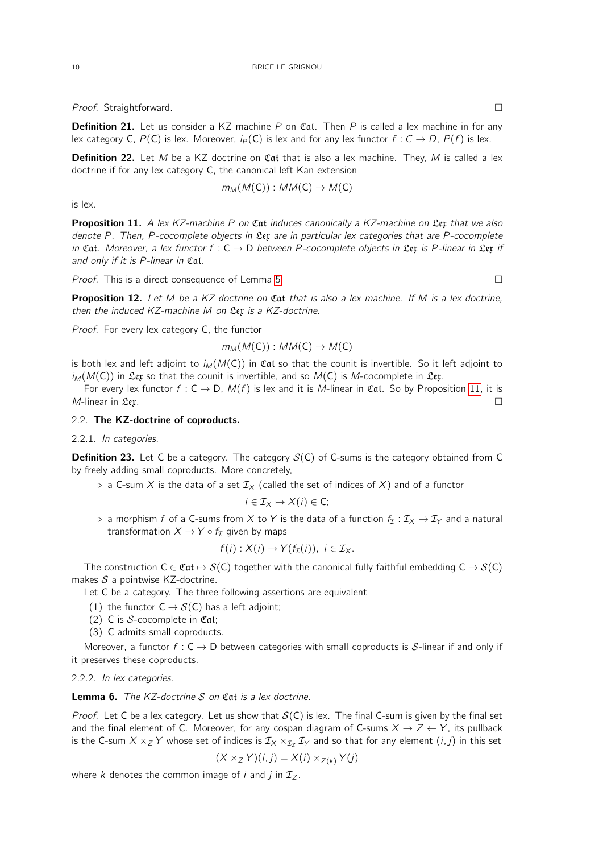Proof. Straightforward.

**Definition 21.** Let us consider a KZ machine  $P$  on Cat. Then  $P$  is called a lex machine in for any lex category C,  $P(C)$  is lex. Moreover,  $i_P(C)$  is lex and for any lex functor  $f: C \rightarrow D$ ,  $P(f)$  is lex.

**Definition 22.** Let M be a KZ doctrine on Cat that is also a lex machine. They, M is called a lex doctrine if for any lex category C, the canonical left Kan extension

$$
m_M(M(C)):MM(C)\to M(C)
$$

is lex.

<span id="page-9-0"></span>**Proposition 11.** A lex KZ-machine P on Cat induces canonically a KZ-machine on Lex that we also denote P. Then, P-cocomplete objects in  $\mathfrak{L}$ ex are in particular lex categories that are P-cocomplete in Cat. Moreover, a lex functor  $f : C \to D$  between P-cocomplete objects in Lex is P-linear in Lex if and only if it is P-linear in Cat.

Proof. This is a direct consequence of Lemma [5.](#page-8-2)

Proposition 12. Let M be a KZ doctrine on Cat that is also a lex machine. If M is a lex doctrine, then the induced  $KZ$ -machine M on  $\mathfrak{L}$ ex is a  $KZ$ -doctrine.

Proof. For every lex category C, the functor

$$
m_M(M(C)):MM(C)\to M(C)
$$

is both lex and left adjoint to  $i_M(M(C))$  in Cat so that the counit is invertible. So it left adjoint to  $i_M(M(C))$  in  $\mathfrak{L}$ ex so that the counit is invertible, and so  $M(C)$  is M-cocomplete in  $\mathfrak{L}$ ex.

For every lex functor  $f : C \to D$ ,  $M(f)$  is lex and it is M-linear in Cat. So by Proposition [11,](#page-9-0) it is *M*-linear in  $\mathfrak{L}\mathfrak{e}\mathfrak{x}$ .

# 2.2. The KZ-doctrine of coproducts.

#### 2.2.1. In categories.

**Definition 23.** Let C be a category. The category  $S(C)$  of C-sums is the category obtained from C by freely adding small coproducts. More concretely,

 $\triangleright$  a C-sum X is the data of a set  $\mathcal{I}_X$  (called the set of indices of X) and of a functor

$$
i\in\mathcal{I}_X\mapsto X(i)\in\mathsf{C};
$$

 $\triangleright$  a morphism f of a C-sums from X to Y is the data of a function  $f_{\mathcal{I}} : \mathcal{I}_X \to \mathcal{I}_Y$  and a natural transformation  $X \to Y \circ f_{\mathcal{I}}$  given by maps

$$
f(i): X(i) \to Y(f_{\mathcal{I}}(i)), \ i \in \mathcal{I}_X.
$$

The construction  $C \in \mathfrak{Cat} \mapsto \mathcal{S}(C)$  together with the canonical fully faithful embedding  $C \to \mathcal{S}(C)$ makes  $S$  a pointwise KZ-doctrine.

Let C be a category. The three following assertions are equivalent

- (1) the functor  $C \rightarrow S(C)$  has a left adjoint;
- (2) C is S-cocomplete in  $Cat;$
- (3) C admits small coproducts.

Moreover, a functor  $f: C \to D$  between categories with small coproducts is S-linear if and only if it preserves these coproducts.

2.2.2. In lex categories.

**Lemma 6.** The KZ-doctrine  $S$  on  $\mathfrak{Cat}$  is a lex doctrine.

*Proof.* Let C be a lex category. Let us show that  $S(C)$  is lex. The final C-sum is given by the final set and the final element of C. Moreover, for any cospan diagram of C-sums  $X \to Z \leftarrow Y$ , its pullback is the C-sum X  $\times$ <sub>Z</sub> Y whose set of indices is  $\mathcal{I}_X \times_{\mathcal{I}_Z} \mathcal{I}_Y$  and so that for any element  $(i, j)$  in this set

$$
(X \times_Z Y)(i,j) = X(i) \times_{Z(k)} Y(j)
$$

where k denotes the common image of i and j in  $I_z$ .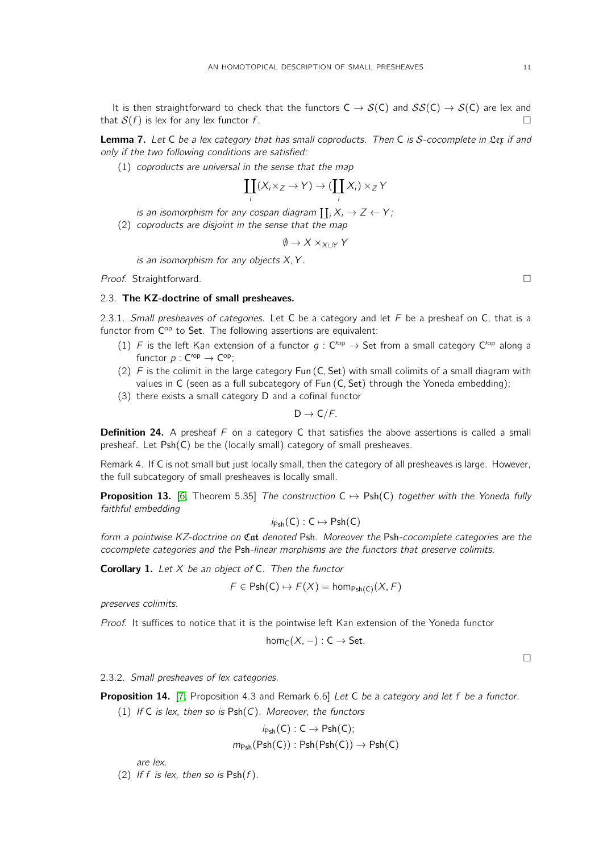It is then straightforward to check that the functors  $C \to S(C)$  and  $SS(C) \to S(C)$  are lex and that  $S(f)$  is lex for any lex functor f.

Lemma 7. Let C be a lex category that has small coproducts. Then C is S-cocomplete in Lex if and only if the two following conditions are satisfied:

(1) coproducts are universal in the sense that the map

$$
\coprod_i (X_i \times_Z \to Y) \to (\coprod_i X_i) \times_Z Y
$$

is an isomorphism for any cospan diagram  $\coprod_i X_i \to Z \leftarrow Y;$ 

(2) coproducts are disjoint in the sense that the map

$$
\emptyset \to X \times_{X \sqcup Y} Y
$$

is an isomorphism for any objects  $X, Y$ .

Proof. Straightforward. □

# 2.3. The KZ-doctrine of small presheaves.

2.3.1. Small presheaves of categories. Let C be a category and let  $F$  be a presheaf on C, that is a functor from C<sup>op</sup> to Set. The following assertions are equivalent:

- (1) F is the left Kan extension of a functor  $g: C^{op} \to$  Set from a small category  $C^{op}$  along a functor  $p: C<sup>op</sup> \to C<sup>op</sup>$ ;
- (2)  $F$  is the colimit in the large category Fun (C, Set) with small colimits of a small diagram with values in C (seen as a full subcategory of Fun  $(C, Set)$  through the Yoneda embedding);
- (3) there exists a small category D and a cofinal functor

$$
D\to C/\digamma.
$$

**Definition 24.** A presheaf  $F$  on a category C that satisfies the above assertions is called a small presheaf. Let Psh(C) be the (locally small) category of small presheaves.

Remark 4. If C is not small but just locally small, then the category of all presheaves is large. However, the full subcategory of small presheaves is locally small.

**Proposition 13.** [\[6,](#page-32-6) Theorem 5.35] The construction  $C \mapsto Psh(C)$  together with the Yoneda fully faithful embedding

$$
i_{\mathsf{Psh}}(C):C\mapsto \mathsf{Psh}(C)
$$

form a pointwise KZ-doctrine on Cat denoted Psh. Moreover the Psh-cocomplete categories are the cocomplete categories and the Psh-linear morphisms are the functors that preserve colimits.

**Corollary 1.** Let  $X$  be an object of  $C$ . Then the functor

$$
F \in \mathsf{Psh}(C) \mapsto F(X) = \mathsf{hom}_{\mathsf{Psh}(C)}(X, F)
$$

preserves colimits.

Proof. It suffices to notice that it is the pointwise left Kan extension of the Yoneda functor

$$
\text{hom}_C(X,-): C \to Set.
$$

 $\Box$ 

2.3.2. Small presheaves of lex categories.

**Proposition 14.** [\[7,](#page-32-7) Proposition 4.3 and Remark 6.6] Let C be a category and let f be a functor.

(1) If C is lex, then so is  $Psh(C)$ . Moreover, the functors

$$
i_{\mathsf{Psh}}(C) : C \to \mathsf{Psh}(C);
$$
  

$$
m_{\mathsf{Psh}}(\mathsf{Psh}(C)) : \mathsf{Psh}(\mathsf{Psh}(C)) \to \mathsf{Psh}(C)
$$

are lex.

(2) If f is lex, then so is  $Psh(f)$ .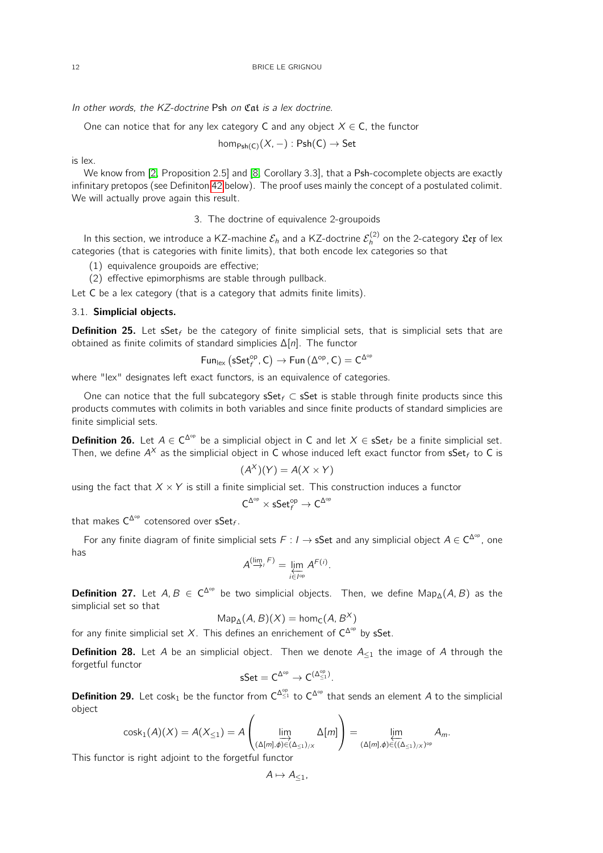12 BRICE LE GRIGNOU

In other words, the KZ-doctrine Psh on Cat is a lex doctrine.

One can notice that for any lex category C and any object  $X \in C$ , the functor

$$
\text{hom}_{\text{Psh}(C)}(X, -): \text{Psh}(C) \to \text{Set}
$$

is lex.

We know from [\[2,](#page-32-2) Proposition 2.5] and [\[8,](#page-32-8) Corollary 3.3], that a Psh-cocomplete objects are exactly infinitary pretopos (see Definiton [42](#page-25-0) below). The proof uses mainly the concept of a postulated colimit. We will actually prove again this result.

3. The doctrine of equivalence 2-groupoids

<span id="page-11-0"></span>In this section, we introduce a KZ-machine  $\mathcal{E}_h$  and a KZ-doctrine  $\mathcal{E}_h^{(2)}$  on the 2-category  $\mathfrak{L}$ e $\mathfrak x$  of lex categories (that is categories with finite limits), that both encode lex categories so that

(1) equivalence groupoids are effective;

(2) effective epimorphisms are stable through pullback.

Let C be a lex category (that is a category that admits finite limits).

## 3.1. Simplicial objects.

**Definition 25.** Let sSet<sub>f</sub> be the category of finite simplicial sets, that is simplicial sets that are obtained as finite colimits of standard simplicies ∆[n]. The functor

$$
\mathsf{Fun}_{\mathsf{lex}}\left(\mathsf{sSet}^{\mathsf{op}}_f,\mathsf{C}\right)\rightarrow \mathsf{Fun}\left(\Delta^{\mathsf{op}},\mathsf{C}\right)=\mathsf{C}^{\Delta^{\mathsf{op}}}
$$

where "lex" designates left exact functors, is an equivalence of categories.

One can notice that the full subcategory sSet  $f \subset S$  is stable through finite products since this products commutes with colimits in both variables and since finite products of standard simplicies are finite simplicial sets.

**Definition 26.** Let  $A \in C^{\Delta^{op}}$  be a simplicial object in C and let  $X \in S$ et<sub>f</sub> be a finite simplicial set. Then, we define  $A^\chi$  as the simplicial object in C whose induced left exact functor from  $\mathsf{sSet}_f$  to C is

$$
(A^X)(Y) = A(X \times Y)
$$

using the fact that  $X \times Y$  is still a finite simplicial set. This construction induces a functor

$$
C^{\Delta^{op}}\times sSet^{\text{op}}_f\to C^{\Delta^{op}}
$$

that makes  $\mathsf{C}^{\Delta^\mathrm{op}}$  cotensored over  $\mathsf{sSet}_f.$ 

For any finite diagram of finite simplicial sets  $F: I \to s$ Set and any simplicial object  $A \in C^{\Delta^{op}}$ , one has

$$
A^{(\lim_{j} F)} = \lim_{i \in I^{\text{op}}} A^{F(i)}.
$$

**Definition 27.** Let  $A, B \in C^{\Delta^{op}}$  be two simplicial objects. Then, we define Map<sub>∆</sub>(A, B) as the simplicial set so that

$$
Map_{\Delta}(A, B)(X) = hom_{\mathsf{C}}(A, B^X)
$$

for any finite simplicial set X. This defines an enrichement of  $C^{\Delta^{op}}$  by sSet.

**Definition 28.** Let A be an simplicial object. Then we denote  $A_{\leq 1}$  the image of A through the forgetful functor

$$
sSet = C^{\Delta^{op}} \to C^{(\Delta^{op}_{\leq 1})}.
$$

**Definition 29.** Let cosk<sub>1</sub> be the functor from  $C^{\Delta_{\leq 1}^{\rm op}}$  to  $C^{\Delta^{op}}$  that sends an element A to the simplicial object

$$
\text{cosk}_1(A)(X) = A(X_{\leq 1}) = A\left(\varinjlim_{(\Delta[m], \phi) \in (\Delta_{\leq 1})/X} \Delta[m]\right) = \varprojlim_{(\Delta[m], \phi) \in ((\Delta_{\leq 1})/X)^{op}} A_m.
$$

This functor is right adjoint to the forgetful functor

$$
A\mapsto A_{\leq 1},
$$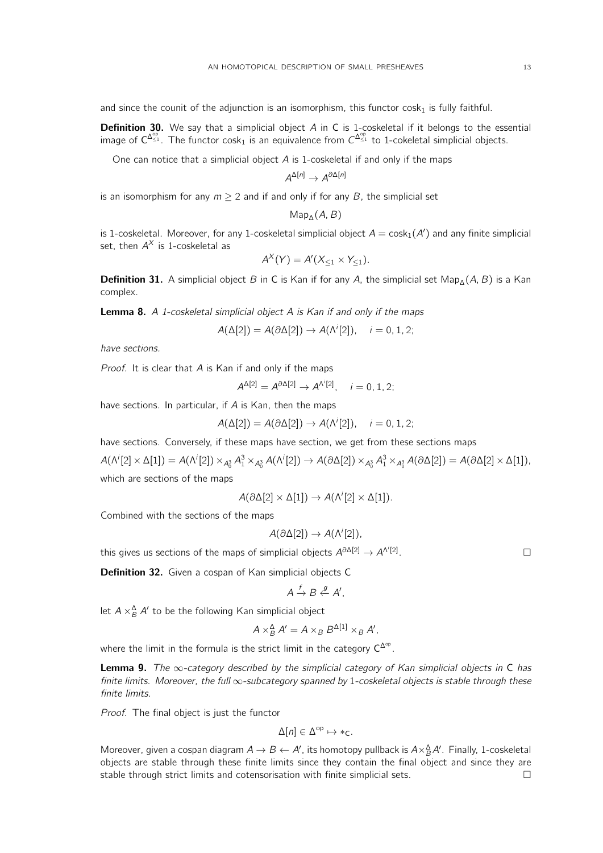and since the counit of the adjunction is an isomorphism, this functor  $cosh<sub>1</sub>$  is fully faithful.

**Definition 30.** We say that a simplicial object A in C is 1-coskeletal if it belongs to the essential image of  $C^{\Delta_{\leq 1}^{\infty}}$ . The functor cosk<sub>1</sub> is an equivalence from  $C^{\Delta_{\leq 1}^{\infty}}$  to 1-cokeletal simplicial objects.

One can notice that a simplicial object A is 1-coskeletal if and only if the maps

$$
A^{\Delta[n]} \to A^{\partial \Delta[n]}
$$

is an isomorphism for any  $m \ge 2$  and if and only if for any B, the simplicial set

$$
Map_{\Delta}(A, B)
$$

is 1-coskeletal. Moreover, for any 1-coskeletal simplicial object  $A = \text{cosk}_1(A')$  and any finite simplicial set, then  $A^\chi$  is 1-coskeletal as

$$
A^X(Y) = A'(X_{\leq 1} \times Y_{\leq 1}).
$$

Definition 31. A simplicial object B in C is Kan if for any A, the simplicial set Map<sub>∆</sub>(A, B) is a Kan complex.

**Lemma 8.** A 1-coskeletal simplicial object A is Kan if and only if the maps

$$
A(\Delta[2]) = A(\partial \Delta[2]) \rightarrow A(\Lambda^{i}[2]), \quad i = 0, 1, 2;
$$

have sections.

*Proof.* It is clear that  $\overline{A}$  is Kan if and only if the maps

$$
A^{\Delta[2]} = A^{\partial \Delta[2]} \rightarrow A^{\Lambda^i[2]}, \quad i = 0, 1, 2;
$$

have sections. In particular, if  $A$  is Kan, then the maps

$$
A(\Delta[2]) = A(\partial \Delta[2]) \rightarrow A(\Lambda^{i}[2]), \quad i = 0, 1, 2;
$$

have sections. Conversely, if these maps have section, we get from these sections maps

 $A(\Lambda^i[2]\times\Delta[1])=A(\Lambda^i[2])\times_{A_0^3}A_1^3\times_{A_0^3}A(\Lambda^i[2])\to A(\partial\Delta[2])\times_{A_0^3}A_1^3\times_{A_0^3}A(\partial\Delta[2])=A(\partial\Delta[2]\times\Delta[1]),$ 

which are sections of the maps

$$
A(\partial \Delta[2] \times \Delta[1]) \to A(\Lambda^i[2] \times \Delta[1]).
$$

Combined with the sections of the maps

$$
A(\partial \Delta[2]) \to A(\Lambda^{i}[2]),
$$

. — Первый процесс в серверності процесс в серверності процесс в серверності процесс в серверності процесс в с<br>Первої в серверності процесс в серверності процесс в серверності процесс в серверності процесс в серверності п

this gives us sections of the maps of simplicial objects  $A^{\partial \Delta[2]} \rightarrow A^{\Lambda^{i}[2]}$ 

Definition 32. Given a cospan of Kan simplicial objects C

$$
A \xrightarrow{f} B \xleftarrow{g} A',
$$

let  $A \times_B^{\Delta} A'$  to be the following Kan simplicial object

$$
A \times^{\Delta}_{B} A' = A \times_{B} B^{\Delta[1]} \times_{B} A',
$$

where the limit in the formula is the strict limit in the category  $C^{\Delta^{op}}$ .

<span id="page-12-0"></span>**Lemma 9.** The  $\infty$ -category described by the simplicial category of Kan simplicial objects in C has finite limits. Moreover, the full ∞-subcategory spanned by 1-coskeletal objects is stable through these finite limits.

Proof. The final object is just the functor

$$
\Delta[n] \in \Delta^{\mathrm{op}} \mapsto \ast_C.
$$

Moreover, given a cospan diagram  $A \to B \gets A'$ , its homotopy pullback is  $A\times^{\Delta}_B A'$ . Finally, 1-coskeletal objects are stable through these finite limits since they contain the final object and since they are stable through strict limits and cotensorisation with finite simplicial sets.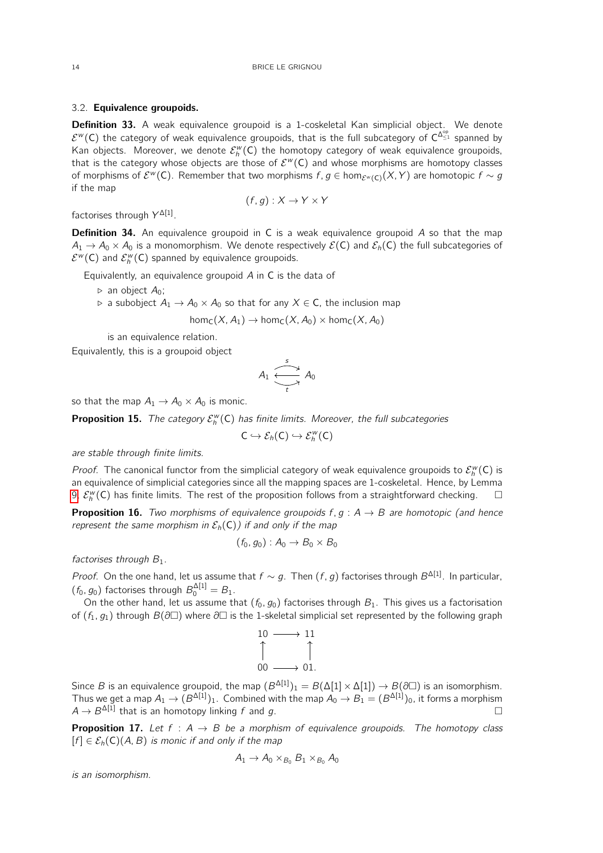### 3.2. Equivalence groupoids.

**Definition 33.** A weak equivalence groupoid is a 1-coskeletal Kan simplicial object. We denote  $\mathcal{E}^w(C)$  the category of weak equivalence groupoids, that is the full subcategory of  $C^{\Delta_{\leq 1}^{\rm op}}$  spanned by Kan objects. Moreover, we denote  $\mathcal{E}_h^w(\mathsf{C})$  the homotopy category of weak equivalence groupoids, that is the category whose objects are those of  $\mathcal{E}^w(\mathsf{C})$  and whose morphisms are homotopy classes of morphisms of  $\mathcal{E}^w(\mathsf{C})$ . Remember that two morphisms  $f,g\in \hom_{\mathcal{E}^w(\mathsf{C})}(X,Y)$  are homotopic  $f\sim g$ if the map

$$
(f,g): X \to Y \times Y
$$

factorises through  $Y^{\Delta[1]}$ .

**Definition 34.** An equivalence groupoid in C is a weak equivalence groupoid A so that the map  $A_1 \to A_0 \times A_0$  is a monomorphism. We denote respectively  $\mathcal{E}(C)$  and  $\mathcal{E}_h(C)$  the full subcategories of  $\mathcal{E}^w(\mathsf{C})$  and  $\mathcal{E}_h^w(\mathsf{C})$  spanned by equivalence groupoids.

Equivalently, an equivalence groupoid A in C is the data of

- $\triangleright$  an object  $A_0$ ;
- $\triangleright$  a subobject  $A_1 \to A_0 \times A_0$  so that for any  $X \in \mathsf{C}$ , the inclusion map

$$
\text{hom}_\mathsf{C}(X, A_1) \to \text{hom}_\mathsf{C}(X, A_0) \times \text{hom}_\mathsf{C}(X, A_0)
$$

is an equivalence relation.

Equivalently, this is a groupoid object

$$
A_1 \xrightarrow[t]{s} A_0
$$

so that the map  $A_1 \rightarrow A_0 \times A_0$  is monic.

**Proposition 15.** The category  $\mathcal{E}_h^w(C)$  has finite limits. Moreover, the full subcategories

$$
C\hookrightarrow \mathcal{E}_h(C)\hookrightarrow \mathcal{E}_h^w(C)
$$

are stable through finite limits.

*Proof.* The canonical functor from the simplicial category of weak equivalence groupoids to  $\mathcal{E}_h^w(C)$  is an equivalence of simplicial categories since all the mapping spaces are 1-coskeletal. Hence, by Lemma [9,](#page-12-0)  $\mathcal{E}_h^w(\mathsf{C})$  has finite limits. The rest of the proposition follows from a straightforward checking.  $\Box$ 

**Proposition 16.** Two morphisms of equivalence groupoids  $f, g : A \rightarrow B$  are homotopic (and hence represent the same morphism in  $\mathcal{E}_h(C)$ ) if and only if the map

$$
(f_0,g_0):A_0\to B_0\times B_0
$$

factorises through  $B_1$ .

*Proof.* On the one hand, let us assume that  $f \sim g$ . Then  $(f, g)$  factorises through  $B^{\Delta[1]}$ . In particular,  $(f_0, g_0)$  factorises through  $B_0^{\Delta[1]} = B_1$ .

On the other hand, let us assume that  $(f_0, g_0)$  factorises through  $B_1$ . This gives us a factorisation of  $(f_1, g_1)$  through  $B(\partial \Box)$  where  $\partial \Box$  is the 1-skeletal simplicial set represented by the following graph



Since B is an equivalence groupoid, the map  $(B^{\Delta[1]})_1 = B(\Delta[1] \times \Delta[1]) \to B(\partial \Box)$  is an isomorphism. Thus we get a map  $A_1 \to (B^{\Delta[1]})_1$ . Combined with the map  $A_0 \to B_1 = (B^{\Delta[1]})_0$ , it forms a morphism  $A \rightarrow B^{\Delta[1]}$  that is an homotopy linking f and g.

<span id="page-13-0"></span>**Proposition 17.** Let  $f : A \rightarrow B$  be a morphism of equivalence groupoids. The homotopy class  $[f] \in \mathcal{E}_h(C)(A, B)$  is monic if and only if the map

$$
A_1 \rightarrow A_0 \times_{B_0} B_1 \times_{B_0} A_0
$$

is an isomorphism.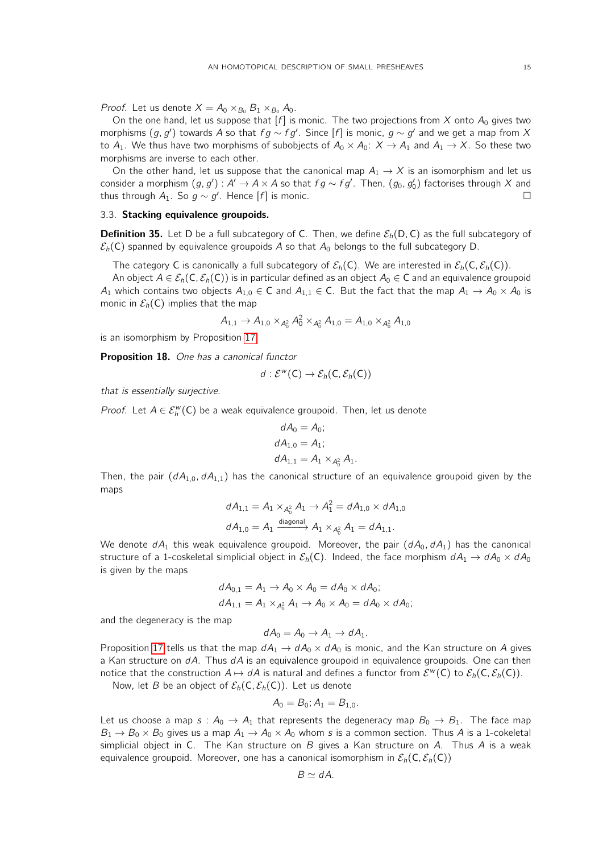*Proof.* Let us denote  $X = A_0 \times_{B_0} B_1 \times_{B_0} A_0$ .

On the one hand, let us suppose that  $[f]$  is monic. The two projections from X onto  $A_0$  gives two morphisms  $(g, g')$  towards A so that  $fg \sim fg'$ . Since  $[f]$  is monic,  $g \sim g'$  and we get a map from X to  $A_1$ . We thus have two morphisms of subobjects of  $A_0 \times A_0$ :  $X \to A_1$  and  $A_1 \to X$ . So these two morphisms are inverse to each other.

On the other hand, let us suppose that the canonical map  $A_1 \rightarrow X$  is an isomorphism and let us consider a morphism  $(g, g') : A' \to A \times A$  so that  $fg \sim fg'.$  Then,  $(g_0, g_0')$  factorises through  $X$  and thus through  $A_1$ . So  $g \sim g'$ . Hence  $[f]$  is monic.  $\Box$ 

#### 3.3. Stacking equivalence groupoids.

**Definition 35.** Let D be a full subcategory of C. Then, we define  $\mathcal{E}_h(D, C)$  as the full subcategory of  $\mathcal{E}_h(C)$  spanned by equivalence groupoids A so that  $A_0$  belongs to the full subcategory D.

The category C is canonically a full subcategory of  $\mathcal{E}_h(C)$ . We are interested in  $\mathcal{E}_h(C, \mathcal{E}_h(C))$ .

An object  $A \in \mathcal{E}_h(C, \mathcal{E}_h(C))$  is in particular defined as an object  $A_0 \in C$  and an equivalence groupoid A<sub>1</sub> which contains two objects  $A_{1,0} \in C$  and  $A_{1,1} \in C$ . But the fact that the map  $A_1 \to A_0 \times A_0$  is monic in  $\mathcal{E}_h(C)$  implies that the map

$$
A_{1,1} \to A_{1,0} \times_{A_0^2} A_0^2 \times_{A_0^2} A_{1,0} = A_{1,0} \times_{A_0^2} A_{1,0}
$$

is an isomorphism by Proposition [17.](#page-13-0)

Proposition 18. One has a canonical functor

$$
d:\mathcal{E}^w(\mathsf{C})\to \mathcal{E}_h(\mathsf{C},\mathcal{E}_h(\mathsf{C}))
$$

that is essentially surjective.

*Proof.* Let  $A \in \mathcal{E}_h^w(C)$  be a weak equivalence groupoid. Then, let us denote

$$
dA_0 = A_0;
$$
  
\n
$$
dA_{1,0} = A_1;
$$
  
\n
$$
dA_{1,1} = A_1 \times_{A_0^2} A_1.
$$

Then, the pair  $(dA_{1,0}, dA_{1,1})$  has the canonical structure of an equivalence groupoid given by the maps

$$
dA_{1,1} = A_1 \times_{A_0^2} A_1 \to A_1^2 = dA_{1,0} \times dA_{1,0}
$$
  

$$
dA_{1,0} = A_1 \xrightarrow{\text{diagonal}} A_1 \times_{A_0^2} A_1 = dA_{1,1}.
$$

We denote  $dA_1$  this weak equivalence groupoid. Moreover, the pair  $(dA_0, dA_1)$  has the canonical structure of a 1-coskeletal simplicial object in  $\mathcal{E}_h(C)$ . Indeed, the face morphism  $dA_1 \to dA_0 \times dA_0$ is given by the maps

$$
dA_{0,1} = A_1 \rightarrow A_0 \times A_0 = dA_0 \times dA_0;
$$
  

$$
dA_{1,1} = A_1 \times_{A_0} A_1 \rightarrow A_0 \times A_0 = dA_0 \times dA_0;
$$

and the degeneracy is the map

 $dA_0 = A_0 \rightarrow A_1 \rightarrow dA_1$ .

Proposition [17](#page-13-0) tells us that the map  $dA_1 \rightarrow dA_0 \times dA_0$  is monic, and the Kan structure on A gives a Kan structure on  $dA$ . Thus  $dA$  is an equivalence groupoid in equivalence groupoids. One can then notice that the construction  $A \mapsto dA$  is natural and defines a functor from  $\mathcal{E}^w(C)$  to  $\mathcal{E}_h(C, \mathcal{E}_h(C))$ .

Now, let B be an object of  $\mathcal{E}_h(C, \mathcal{E}_h(C))$ . Let us denote

$$
A_0=B_0; A_1=B_{1,0}.
$$

Let us choose a map  $s : A_0 \to A_1$  that represents the degeneracy map  $B_0 \to B_1$ . The face map  $B_1 \rightarrow B_0 \times B_0$  gives us a map  $A_1 \rightarrow A_0 \times A_0$  whom s is a common section. Thus A is a 1-cokeletal simplicial object in C. The Kan structure on  $B$  gives a Kan structure on  $A$ . Thus  $A$  is a weak equivalence groupoid. Moreover, one has a canonical isomorphism in  $\mathcal{E}_h(C, \mathcal{E}_h(C))$ 

$$
B \simeq dA.
$$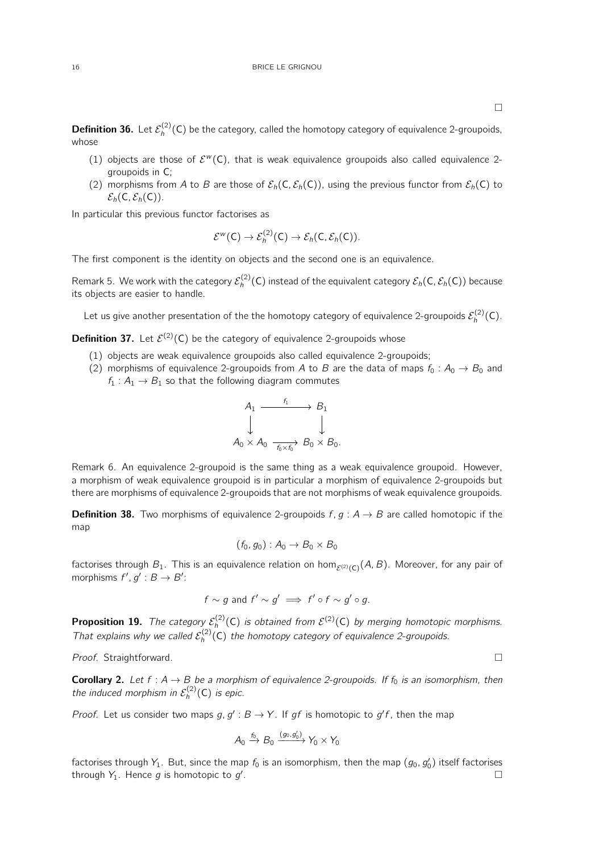- (1) objects are those of  $\mathcal{E}^w(C)$ , that is weak equivalence groupoids also called equivalence 2groupoids in C;
- (2) morphisms from A to B are those of  $\mathcal{E}_h(C, \mathcal{E}_h(C))$ , using the previous functor from  $\mathcal{E}_h(C)$  to  $\mathcal{E}_h(C, \mathcal{E}_h(C)).$

In particular this previous functor factorises as

$$
\mathcal{E}^w(\mathsf{C}) \to \mathcal{E}_h^{(2)}(\mathsf{C}) \to \mathcal{E}_h(\mathsf{C}, \mathcal{E}_h(\mathsf{C})).
$$

The first component is the identity on objects and the second one is an equivalence.

Remark 5. We work with the category  $\mathcal{E}_h^{(2)}(\mathsf{C})$  instead of the equivalent category  $\mathcal{E}_h(\mathsf{C},\mathcal{E}_h(\mathsf{C}))$  because its objects are easier to handle.

Let us give another presentation of the the homotopy category of equivalence 2-groupoids  $\mathcal{E}_h^{(2)}(\mathsf{C})$ .

**Definition 37.** Let  $\mathcal{E}^{(2)}(\mathsf{C})$  be the category of equivalence 2-groupoids whose

- (1) objects are weak equivalence groupoids also called equivalence 2-groupoids;
- (2) morphisms of equivalence 2-groupoids from A to B are the data of maps  $f_0 : A_0 \to B_0$  and  $f_1: A_1 \rightarrow B_1$  so that the following diagram commutes

$$
A_1 \xrightarrow{f_1} B_1
$$
  

$$
\downarrow \qquad \qquad \downarrow
$$
  

$$
A_0 \times A_0 \xrightarrow{f_0 \times f_0} B_0 \times B_0.
$$

Remark 6. An equivalence 2-groupoid is the same thing as a weak equivalence groupoid. However, a morphism of weak equivalence groupoid is in particular a morphism of equivalence 2-groupoids but there are morphisms of equivalence 2-groupoids that are not morphisms of weak equivalence groupoids.

**Definition 38.** Two morphisms of equivalence 2-groupoids  $f, g : A \rightarrow B$  are called homotopic if the map

$$
(f_0,g_0):A_0\to B_0\times B_0
$$

factorises through  $B_1.$  This is an equivalence relation on hom $_{\cal E^{(2)}(C)}(A,B).$  Moreover, for any pair of morphisms  $f', g' : B \to B'$ :

$$
f \sim g \text{ and } f' \sim g' \implies f' \circ f \sim g' \circ g.
$$

**Proposition 19.** The category  $\mathcal{E}_h^{(2)}(C)$  is obtained from  $\mathcal{E}^{(2)}(C)$  by merging homotopic morphisms. That explains why we called  $\mathcal{E}_h^{(2)}(C)$  the homotopy category of equivalence 2-groupoids.

Proof. Straightforward.

<span id="page-15-0"></span>**Corollary 2.** Let  $f : A \rightarrow B$  be a morphism of equivalence 2-groupoids. If  $f_0$  is an isomorphism, then the induced morphism in  $\mathcal{E}_h^{(2)}(\mathsf{C})$  is epic.

*Proof.* Let us consider two maps  $g, g' : B \to Y$ . If gf is homotopic to  $g'f$ , then the map

$$
A_0 \xrightarrow{f_0} B_0 \xrightarrow{(g_0, g'_0)} Y_0 \times Y_0
$$

factorises through  $Y_1$ . But, since the map  $f_0$  is an isomorphism, then the map  $(g_0,g_0^\prime)$  itself factorises through  $Y_1$ . Hence  $g$  is homotopic to  $g'$ .

whose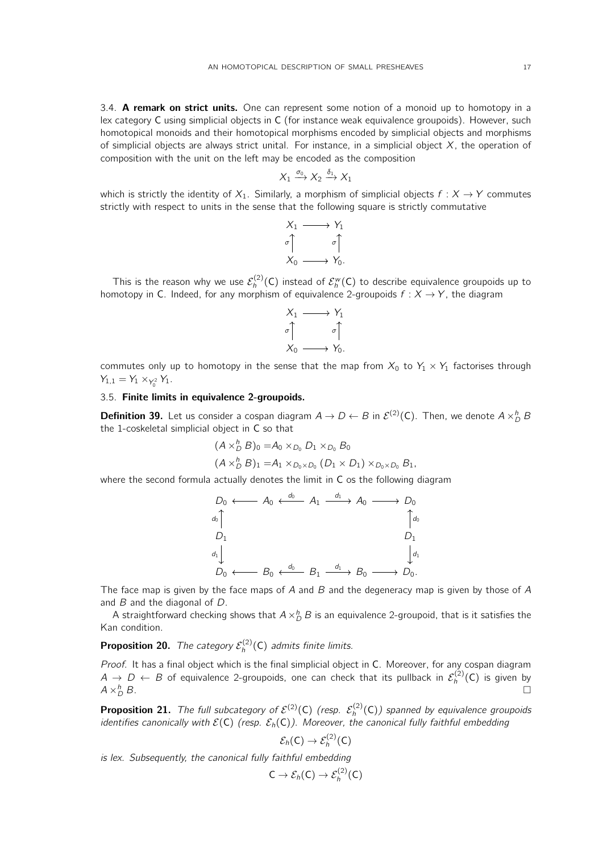3.4. A remark on strict units. One can represent some notion of a monoid up to homotopy in a lex category C using simplicial objects in C (for instance weak equivalence groupoids). However, such homotopical monoids and their homotopical morphisms encoded by simplicial objects and morphisms of simplicial objects are always strict unital. For instance, in a simplicial object  $X$ , the operation of composition with the unit on the left may be encoded as the composition

$$
X_1 \xrightarrow{\sigma_0} X_2 \xrightarrow{\delta_1} X_1
$$

which is strictly the identity of  $X_1$ . Similarly, a morphism of simplicial objects  $f : X \to Y$  commutes strictly with respect to units in the sense that the following square is strictly commutative



This is the reason why we use  $\mathcal{E}_h^{(2)}(\mathsf{C})$  instead of  $\mathcal{E}_h^{\sf w}(\mathsf{C})$  to describe equivalence groupoids up to homotopy in C. Indeed, for any morphism of equivalence 2-groupoids  $f: X \rightarrow Y$ , the diagram



commutes only up to homotopy in the sense that the map from  $X_0$  to  $Y_1 \times Y_1$  factorises through  $Y_{1,1} = Y_1 \times_{Y_0^2} Y_1.$ 

# 3.5. Finite limits in equivalence 2-groupoids.

**Definition 39.** Let us consider a cospan diagram  $A \to D \leftarrow B$  in  $\mathcal{E}^{(2)}(C)$ . Then, we denote  $A \times_D^h B$ the 1-coskeletal simplicial object in C so that

$$
(A \times_D^h B)_0 = A_0 \times_{D_0} D_1 \times_{D_0} B_0
$$
  

$$
(A \times_D^h B)_1 = A_1 \times_{D_0 \times D_0} (D_1 \times D_1) \times_{D_0 \times D_0} B_1.
$$

where the second formula actually denotes the limit in C os the following diagram

|       | $D_0 \longleftarrow A_0 \stackrel{d_0}{\longleftarrow} A_1 \stackrel{d_1}{\longrightarrow} A_0 \longrightarrow D_0$ |                                                  |  |  |                     |
|-------|---------------------------------------------------------------------------------------------------------------------|--------------------------------------------------|--|--|---------------------|
| $d_0$ |                                                                                                                     |                                                  |  |  | $\int d_0$          |
| $D_1$ |                                                                                                                     |                                                  |  |  |                     |
| $d_1$ |                                                                                                                     |                                                  |  |  | $\int d_1$          |
|       | $D_0 \leftarrow$                                                                                                    | $B_0 \xleftarrow{d_0} B_1 \xrightarrow{d_1} B_0$ |  |  | $\rightarrow D_0$ . |

The face map is given by the face maps of A and B and the degeneracy map is given by those of A and B and the diagonal of D.

A straightforward checking shows that  $A\times_D^h B$  is an equivalence 2-groupoid, that is it satisfies the Kan condition.

**Proposition 20.** The category  $\mathcal{E}_h^{(2)}(C)$  admits finite limits.

Proof. It has a final object which is the final simplicial object in C. Moreover, for any cospan diagram  $A \to D \leftarrow B$  of equivalence 2-groupoids, one can check that its pullback in  $\mathcal{E}_h^{(2)}(\mathsf{C})$  is given by  $A \times_D^h B$ .  $\mathop{D}\limits^h B$ .

**Proposition 21.** The full subcategory of  $\mathcal{E}^{(2)}(\mathsf{C})$  (resp.  $\mathcal{E}^{(2)}_h(\mathsf{C})$ ) spanned by equivalence groupoids identifies canonically with  $\mathcal{E}(C)$  (resp.  $\mathcal{E}_h(C)$ ). Moreover, the canonical fully faithful embedding

$$
\mathcal{E}_h(\mathsf{C}) \to \mathcal{E}_h^{(2)}(\mathsf{C})
$$

is lex. Subsequently, the canonical fully faithful embedding

$$
C\to \mathcal{E}_h(C)\to \mathcal{E}_h^{(2)}(C)
$$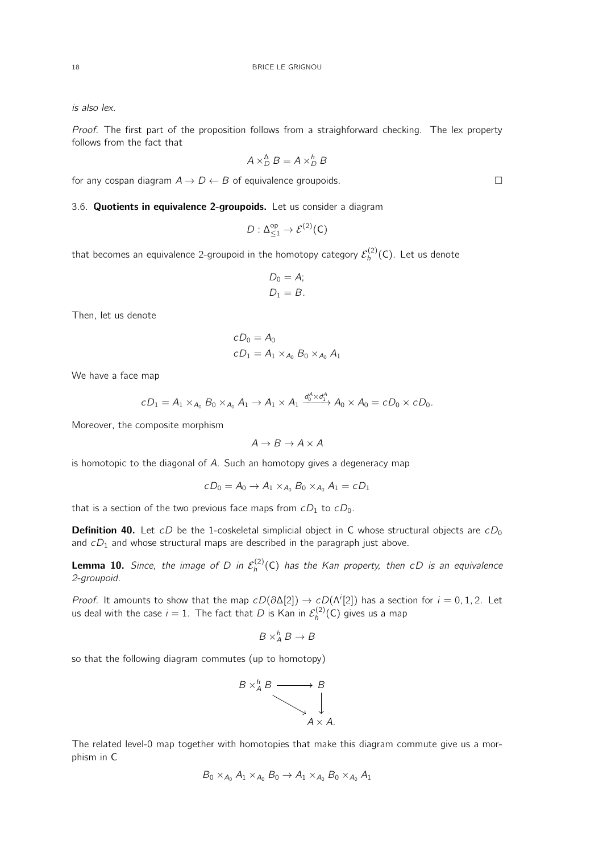is also lex.

Proof. The first part of the proposition follows from a straighforward checking. The lex property follows from the fact that

$$
A \times_D^{\Delta} B = A \times_D^h B
$$

for any cospan diagram  $A \to D \leftarrow B$  of equivalence groupoids.

# 3.6. Quotients in equivalence 2-groupoids. Let us consider a diagram

$$
D:\Delta^{\sf op}_{\leq 1}\to \mathcal{E}^{(2)}(\mathsf{C})
$$

that becomes an equivalence 2-groupoid in the homotopy category  $\mathcal{E}_h^{(2)}(\mathsf{C})$ . Let us denote

$$
D_0 = A;
$$
  

$$
D_1 = B.
$$

Then, let us denote

$$
cD_0 = A_0
$$
  

$$
cD_1 = A_1 \times_{A_0} B_0 \times_{A_0} A_1
$$

We have a face map

$$
cD_1=A_1\times_{A_0}B_0\times_{A_0}A_1\to A_1\times A_1 \xrightarrow{d_0^A\times d_1^A}A_0\times A_0=cD_0\times cD_0.
$$

Moreover, the composite morphism

$$
A \to B \to A \times A
$$

is homotopic to the diagonal of A. Such an homotopy gives a degeneracy map

$$
cD_0=A_0\rightarrow A_1\times_{A_0}B_0\times_{A_0}A_1=cD_1
$$

that is a section of the two previous face maps from  $cD_1$  to  $cD_0$ .

**Definition 40.** Let cD be the 1-coskeletal simplicial object in C whose structural objects are  $cD_0$ and  $cD_1$  and whose structural maps are described in the paragraph just above.

**Lemma 10.** Since, the image of D in  $\mathcal{E}_h^{(2)}(\mathsf{C})$  has the Kan property, then cD is an equivalence 2-groupoid.

*Proof.* It amounts to show that the map  $cD(\partial \Delta[2]) \to cD(\Lambda^{i}[2])$  has a section for  $i = 0, 1, 2$ . Let us deal with the case  $i=1$ . The fact that  $D$  is Kan in  $\mathcal{E}_h^{(2)}(\mathsf{C})$  gives us a map

$$
B \times^h_A B \to B
$$

so that the following diagram commutes (up to homotopy)



The related level-0 map together with homotopies that make this diagram commute give us a morphism in C

$$
B_0 \times_{A_0} A_1 \times_{A_0} B_0 \to A_1 \times_{A_0} B_0 \times_{A_0} A_1
$$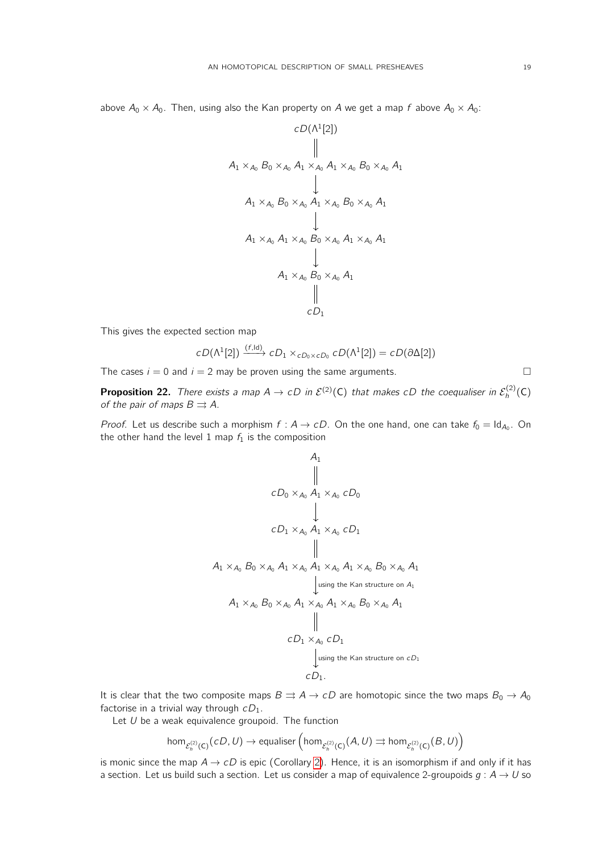above  $A_0 \times A_0$ . Then, using also the Kan property on A we get a map f above  $A_0 \times A_0$ :

$$
cD(\Lambda^{1}[2])
$$
\n
$$
\parallel
$$
\n
$$
A_{1} \times_{A_{0}} B_{0} \times_{A_{0}} A_{1} \times_{A_{0}} A_{1} \times_{A_{0}} B_{0} \times_{A_{0}} A_{1}
$$
\n
$$
\downarrow
$$
\n
$$
A_{1} \times_{A_{0}} B_{0} \times_{A_{0}} A_{1} \times_{A_{0}} B_{0} \times_{A_{0}} A_{1}
$$
\n
$$
\downarrow
$$
\n
$$
A_{1} \times_{A_{0}} A_{1} \times_{A_{0}} B_{0} \times_{A_{0}} A_{1} \times_{A_{0}} A_{1}
$$
\n
$$
\downarrow
$$
\n
$$
A_{1} \times_{A_{0}} B_{0} \times_{A_{0}} A_{1}
$$
\n
$$
\parallel
$$
\n
$$
cD_{1}
$$

This gives the expected section map

$$
cD(\Lambda^1[2]) \xrightarrow{(f, \text{Id})} cD_1 \times_{cD_0 \times cD_0} cD(\Lambda^1[2]) = cD(\partial \Delta[2])
$$

The cases  $i = 0$  and  $i = 2$  may be proven using the same arguments.

<span id="page-18-0"></span>**Proposition 22.** There exists a map  $A \to cD$  in  $\mathcal{E}^{(2)}(C)$  that makes  $cD$  the coequaliser in  $\mathcal{E}_h^{(2)}(C)$ of the pair of maps  $B \rightrightarrows A$ .

*Proof.* Let us describe such a morphism  $f : A \rightarrow cD$ . On the one hand, one can take  $f_0 = \text{Id}_{A_0}$ . On the other hand the level 1 map  $f_1$  is the composition

$$
A_1
$$
\n
$$
\parallel
$$
\n
$$
cD_0 \times_{A_0} A_1 \times_{A_0} cD_0
$$
\n
$$
\downarrow
$$
\n
$$
cD_1 \times_{A_0} A_1 \times_{A_0} cD_1
$$
\n
$$
\parallel
$$
\n
$$
A_1 \times_{A_0} B_0 \times_{A_0} A_1 \times_{A_0} A_1 \times_{A_0} A_1 \times_{A_0} B_0 \times_{A_0} A_1
$$
\n
$$
\downarrow
$$
\n
$$
\downarrow
$$
\nusing the Kan structure on  $A_1$ \n
$$
A_1 \times_{A_0} B_0 \times_{A_0} A_1 \times_{A_0} A_1 \times_{A_0} B_0 \times_{A_0} A_1
$$
\n
$$
\parallel
$$
\n
$$
cD_1 \times_{A_0} cD_1
$$
\n
$$
\downarrow
$$
\nusing the Kan structure on  $cD_1$ \n $cD_1$ .

It is clear that the two composite maps  $B \rightrightarrows A \to cD$  are homotopic since the two maps  $B_0 \to A_0$ factorise in a trivial way through  $cD_1$ .

Let  $U$  be a weak equivalence groupoid. The function

$$
\textup{hom}_{\mathcal{E}_h^{(2)}(C)}(\mathit{cD},U) \to \textup{equaliser}\left(\textup{hom}_{\mathcal{E}_h^{(2)}(C)}(A,U) \rightrightarrows \textup{hom}_{\mathcal{E}_h^{(2)}(C)}(B,U)\right)
$$

is monic since the map  $A \rightarrow cD$  is epic (Corollary [2\)](#page-15-0). Hence, it is an isomorphism if and only if it has a section. Let us build such a section. Let us consider a map of equivalence 2-groupoids  $g : A \rightarrow U$  so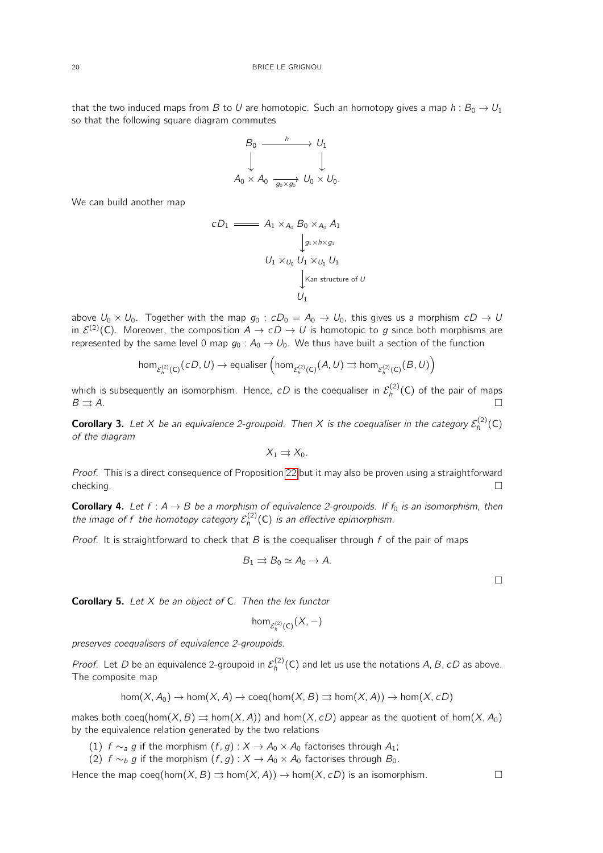that the two induced maps from B to U are homotopic. Such an homotopy gives a map  $h : B_0 \to U_1$ so that the following square diagram commutes

$$
B_0 \xrightarrow{\quad h \quad} U_1
$$
  

$$
\downarrow \qquad \qquad \downarrow
$$
  

$$
A_0 \times A_0 \xrightarrow{\quad g_0 \times g_0} U_0 \times U_0.
$$

We can build another map

$$
cD_1 \longrightarrow A_1 \times_{A_0} B_0 \times_{A_0} A_1
$$
  
\n
$$
\downarrow g_1 \times h \times g_1
$$
  
\n
$$
U_1 \times_{U_0} U_1 \times_{U_0} U_1
$$
  
\n
$$
\downarrow \text{Kan structure of } U
$$
  
\n
$$
U_1
$$

above  $U_0 \times U_0$ . Together with the map  $g_0 : cD_0 = A_0 \rightarrow U_0$ , this gives us a morphism  $cD \rightarrow U_0$ in  $\mathcal{E}^{(2)}(\mathsf{C})$ . Moreover, the composition  $A\to\mathit{cD}\to U$  is homotopic to  $g$  since both morphisms are represented by the same level 0 map  $g_0 : A_0 \to U_0$ . We thus have built a section of the function

$$
\textup{hom}_{\mathcal{E}_h^{(2)}(\mathsf{C})}(\mathsf{cD},U) \to \textup{equaliser}\left(\textup{hom}_{\mathcal{E}_h^{(2)}(\mathsf{C})}(A,U) \rightrightarrows \textup{hom}_{\mathcal{E}_h^{(2)}(\mathsf{C})}(B,U)\right)
$$

which is subsequently an isomorphism. Hence,  $\,cD$  is the coequaliser in  $\mathcal{E}_h^{(2)}(\mathsf{C})$  of the pair of maps  $B \rightrightarrows A$ .

<span id="page-19-0"></span>**Corollary 3.** Let X be an equivalence 2-groupoid. Then X is the coequaliser in the category  $\mathcal{E}_h^{(2)}(\mathsf{C})$ of the diagram

$$
X_1 \rightrightarrows X_0.
$$

Proof. This is a direct consequence of Proposition [22](#page-18-0) but it may also be proven using a straightforward  $\Box$ checking.

<span id="page-19-1"></span>**Corollary 4.** Let  $f : A \rightarrow B$  be a morphism of equivalence 2-groupoids. If  $f_0$  is an isomorphism, then the image of  $f$  the homotopy category  $\mathcal{E}_h^{(2)}(\mathsf{C})$  is an effective epimorphism.

*Proof.* It is straightforward to check that B is the coequaliser through f of the pair of maps

$$
B_1 \rightrightarrows B_0 \simeq A_0 \to A.
$$

<span id="page-19-2"></span>**Corollary 5.** Let  $X$  be an object of C. Then the lex functor

$$
\hom_{\mathcal{E}_h^{(2)}(\mathsf{C})}(X,-)
$$

preserves coequalisers of equivalence 2-groupoids.

*Proof.* Let D be an equivalence 2-groupoid in  $\mathcal{E}_h^{(2)}(C)$  and let us use the notations A, B, cD as above. The composite map

$$
hom(X, A_0) \to hom(X, A) \to coeq(hom(X, B) \implies hom(X, A)) \to hom(X, cD)
$$

makes both coeq(hom(X, B)  $\Rightarrow$  hom(X, A)) and hom(X, cD) appear as the quotient of hom(X, A<sub>0</sub>) by the equivalence relation generated by the two relations

- (1)  $f \sim_a g$  if the morphism  $(f, g) : X \to A_0 \times A_0$  factorises through  $A_1$ ;
- (2)  $f \sim_b g$  if the morphism  $(f, g) : X \to A_0 \times A_0$  factorises through  $B_0$ .

Hence the map coeq(hom(X, B)  $\Rightarrow$  hom(X, A))  $\rightarrow$  hom(X, cD) is an isomorphism.

 $\Box$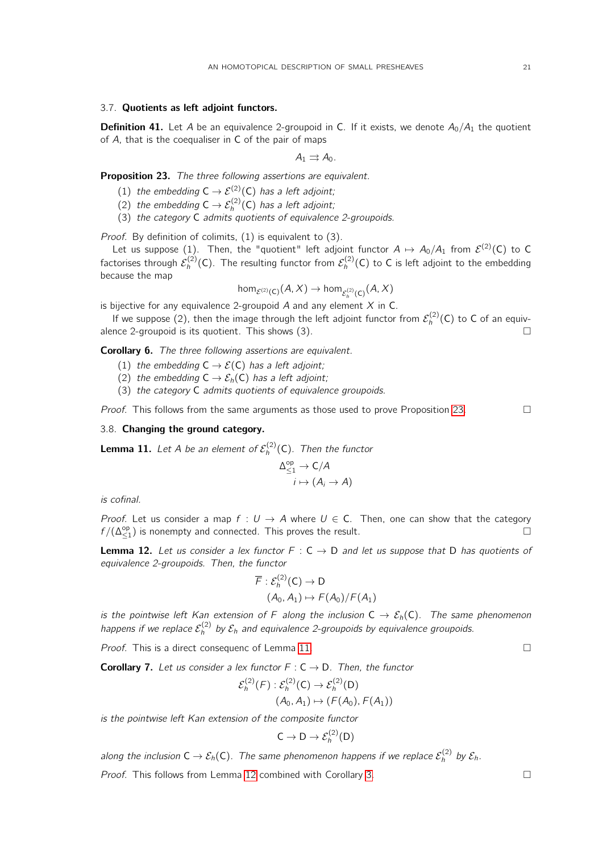# 3.7. Quotients as left adjoint functors.

**Definition 41.** Let A be an equivalence 2-groupoid in C. If it exists, we denote  $A_0/A_1$  the quotient of A, that is the coequaliser in C of the pair of maps

 $A_1 \rightrightarrows A_0$ .

<span id="page-20-0"></span>Proposition 23. The three following assertions are equivalent.

- (1) the embedding  $C \rightarrow \mathcal{E}^{(2)}(C)$  has a left adjoint;
- (2) the embedding  $C \rightarrow \mathcal{E}_h^{(2)}(C)$  has a left adjoint;
- (3) the category C admits quotients of equivalence 2-groupoids.

Proof. By definition of colimits, (1) is equivalent to (3).

Let us suppose (1). Then, the "quotient" left adjoint functor  $A \mapsto A_0/A_1$  from  $\mathcal{E}^{(2)}(\mathsf{C})$  to  $\mathsf{C}$ factorises through  $\mathcal{E}_h^{(2)}(\mathsf{C})$ . The resulting functor from  $\mathcal{E}_h^{(2)}(\mathsf{C})$  to  $\mathsf C$  is left adjoint to the embedding because the map

$$
\hom_{\mathcal{E}^{(2)}(\mathsf{C})}(A,X)\to\hom_{\mathcal{E}_h^{(2)}(\mathsf{C})}(A,X)
$$

is bijective for any equivalence 2-groupoid  $A$  and any element  $X$  in C.

If we suppose (2), then the image through the left adjoint functor from  $\mathcal{E}_h^{(2)}(\mathsf{C})$  to  $\mathsf C$  of an equivalence 2-groupoid is its quotient. This shows  $(3)$ .

Corollary 6. The three following assertions are equivalent.

- (1) the embedding  $C \rightarrow \mathcal{E}(C)$  has a left adjoint;
- (2) the embedding  $C \rightarrow \mathcal{E}_h(C)$  has a left adjoint;
- (3) the category C admits quotients of equivalence groupoids.

*Proof.* This follows from the same arguments as those used to prove Proposition [23.](#page-20-0)

# 3.8. Changing the ground category.

<span id="page-20-1"></span>**Lemma 11.** Let A be an element of  $\mathcal{E}_h^{(2)}(\mathsf{C})$ . Then the functor

$$
\Delta_{\leq 1}^{\text{op}} \to \mathsf{C}/\mathsf{A}
$$

$$
i \mapsto (\mathsf{A}_i \to \mathsf{A})
$$

is cofinal.

Proof. Let us consider a map  $f: U \to A$  where  $U \in C$ . Then, one can show that the category  $f/(\Delta_{\leq 1}^{\mathsf{op}})$  is nonempty and connected. This proves the result.

<span id="page-20-2"></span>**Lemma 12.** Let us consider a lex functor  $F : C \rightarrow D$  and let us suppose that D has quotients of equivalence 2-groupoids. Then, the functor

$$
\overline{F}: \mathcal{E}_h^{(2)}(\mathsf{C}) \to \mathsf{D} (A_0, A_1) \mapsto F(A_0)/F(A_1)
$$

is the pointwise left Kan extension of F along the inclusion  $C \to \mathcal{E}_h(C)$ . The same phenomenon happens if we replace  $\mathcal{E}_h^{(2)}$  by  $\mathcal{E}_h$  and equivalence 2-groupoids by equivalence groupoids.

*Proof.* This is a direct consequenc of Lemma [11.](#page-20-1)

<span id="page-20-3"></span>**Corollary 7.** Let us consider a lex functor  $F: C \rightarrow D$ . Then, the functor

$$
\mathcal{E}_h^{(2)}(F) : \mathcal{E}_h^{(2)}(C) \to \mathcal{E}_h^{(2)}(D)
$$
  

$$
(A_0, A_1) \mapsto (F(A_0), F(A_1))
$$

is the pointwise left Kan extension of the composite functor

$$
C \to D \to \mathcal{E}_h^{(2)}(D)
$$

along the inclusion  $\mathsf{C}\to \mathcal{E}_h(\mathsf{C}).$  The same phenomenon happens if we replace  $\mathcal{E}_h^{(2)}$  by  $\mathcal{E}_h.$ 

*Proof.* This follows from Lemma [12](#page-20-2) combined with Corollary [3.](#page-19-0)  $\Box$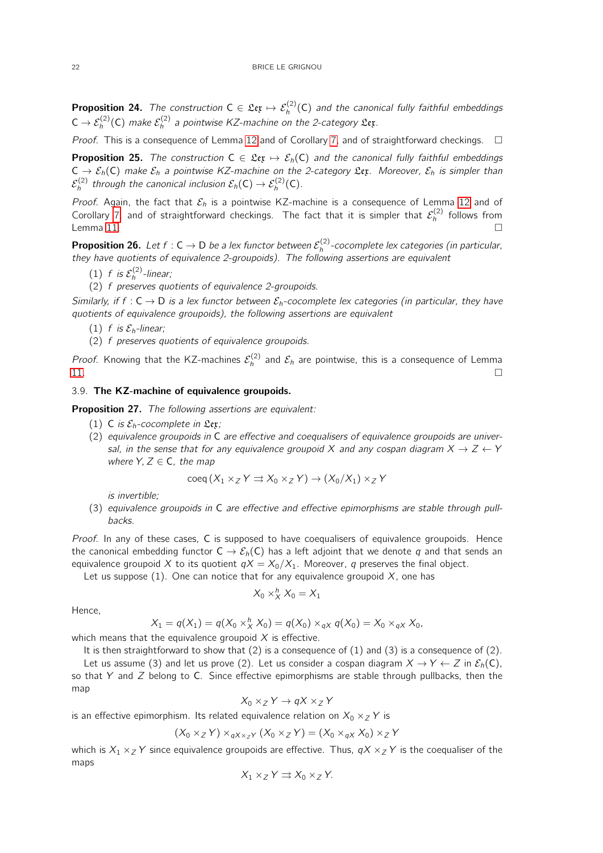**Proposition 24.** The construction  $C \in \mathfrak{L}\mathfrak{e}\mathfrak{x} \mapsto \mathcal{E}_h^{(2)}(C)$  and the canonical fully faithful embeddings  $\mathsf{C}\to\mathcal{E}_h^{(2)}(\mathsf{C})$  make  $\mathcal{E}_h^{(2)}$  a pointwise KZ-machine on the 2-category  $\mathfrak{L}$ et.

Proof. This is a consequence of Lemma [12](#page-20-2) and of Corollary [7,](#page-20-3) and of straightforward checkings.  $\Box$ 

**Proposition 25.** The construction  $C \in \mathfrak{Ler} \mapsto \mathcal{E}_h(C)$  and the canonical fully faithful embeddings  $C \to \mathcal{E}_h(C)$  make  $\mathcal{E}_h$  a pointwise KZ-machine on the 2-category  $\mathfrak{L}_{\mathfrak{X}}$ . Moreover,  $\mathcal{E}_h$  is simpler than  $\mathcal{E}_h^{(2)}$  through the canonical inclusion  $\mathcal{E}_h(\mathsf{C}) \to \mathcal{E}_h^{(2)}(\mathsf{C}).$ 

Proof. Again, the fact that  $\mathcal{E}_h$  is a pointwise KZ-machine is a consequence of Lemma [12](#page-20-2) and of Corollary [7,](#page-20-3) and of straightforward checkings. The fact that it is simpler that  $\mathcal{E}_h^{(2)}$  follows from Lemma [11.](#page-20-1)  $\Box$ 

**Proposition 26.** Let  $f: C \to D$  be a lex functor between  $\mathcal{E}_h^{(2)}$ -cocomplete lex categories (in particular, they have quotients of equivalence 2-groupoids). The following assertions are equivalent

- (1) f is  $\mathcal{E}_h^{(2)}$ -linear;
- (2) f preserves quotients of equivalence 2-groupoids.

Similarly, if f :  $C \rightarrow D$  is a lex functor between  $\mathcal{E}_b$ -cocomplete lex categories (in particular, they have quotients of equivalence groupoids), the following assertions are equivalent

- (1) f is  $\mathcal{E}_h$ -linear;
- (2) f preserves quotients of equivalence groupoids.

*Proof.* Knowing that the KZ-machines  $\mathcal{E}_h^{(2)}$  and  $\mathcal{E}_h$  are pointwise, this is a consequence of Lemma  $\blacksquare$ 

## 3.9. The KZ-machine of equivalence groupoids.

<span id="page-21-0"></span>Proposition 27. The following assertions are equivalent:

- (1) C is  $\mathcal{E}_h$ -cocomplete in  $\mathfrak{L}$ ex;
- (2) equivalence groupoids in C are effective and coequalisers of equivalence groupoids are universal, in the sense that for any equivalence groupoid X and any cospan diagram  $X \rightarrow Z \leftarrow Y$ where  $Y, Z \in \mathsf{C}$ , the map

$$
\text{coeq}(X_1 \times_Z Y \rightrightarrows X_0 \times_Z Y) \to (X_0/X_1) \times_Z Y
$$

is invertible;

(3) equivalence groupoids in C are effective and effective epimorphisms are stable through pullbacks.

Proof. In any of these cases, C is supposed to have coequalisers of equivalence groupoids. Hence the canonical embedding functor  $C \to \mathcal{E}_h(C)$  has a left adjoint that we denote q and that sends an equivalence groupoid X to its quotient  $qX = X_0/X_1$ . Moreover, q preserves the final object.

Let us suppose (1). One can notice that for any equivalence groupoid  $X$ , one has

$$
X_0 \times_X^h X_0 = X_1
$$

Hence,

$$
X_1 = q(X_1) = q(X_0 \times_X^h X_0) = q(X_0) \times_{qX} q(X_0) = X_0 \times_{qX} X_0,
$$

which means that the equivalence groupoid  $X$  is effective.

It is then straightforward to show that  $(2)$  is a consequence of  $(1)$  and  $(3)$  is a consequence of  $(2)$ .

Let us assume (3) and let us prove (2). Let us consider a cospan diagram  $X \to Y \leftarrow Z$  in  $\mathcal{E}_h(C)$ , so that Y and  $Z$  belong to C. Since effective epimorphisms are stable through pullbacks, then the map

$$
X_0 \times_Z Y \to qX \times_Z Y
$$

is an effective epimorphism. Its related equivalence relation on  $X_0 \times_Z Y$  is

$$
(X_0 \times_Z Y) \times_{qX \times_Z Y} (X_0 \times_Z Y) = (X_0 \times_{qX} X_0) \times_Z Y
$$

which is  $X_1 \times_Z Y$  since equivalence groupoids are effective. Thus,  $qX \times_Z Y$  is the coequaliser of the maps

$$
X_1 \times_Z Y \rightrightarrows X_0 \times_Z Y.
$$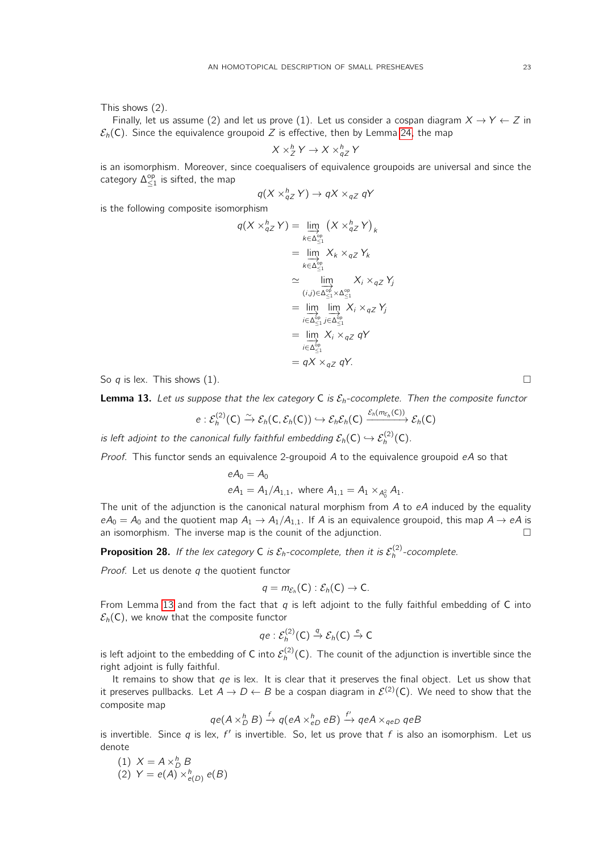This shows (2).

Finally, let us assume (2) and let us prove (1). Let us consider a cospan diagram  $X \to Y \leftarrow Z$  in  $\mathcal{E}_h(C)$ . Since the equivalence groupoid Z is effective, then by Lemma [24,](#page-29-1) the map

$$
X \times_Z^h Y \to X \times_{qZ}^h Y
$$

is an isomorphism. Moreover, since coequalisers of equivalence groupoids are universal and since the category  $\Delta_{\leq 1}^{\sf op}$  is sifted, the map

$$
q(X \times_{qZ}^h Y) \to qX \times_{qZ} qY
$$

is the following composite isomorphism

$$
q(X \times_{qZ}^{h} Y) = \lim_{k \in \Delta_{\leq 1}^{\text{op}}} (X \times_{qZ}^{h} Y)_{k}
$$
  
\n
$$
= \lim_{k \in \Delta_{\leq 1}^{\text{op}}} X_{k} \times_{qZ} Y_{k}
$$
  
\n
$$
\approx \lim_{(i,j) \in \Delta_{\leq 1}^{\text{op}}} X_{i} \times_{qZ} Y_{j}
$$
  
\n
$$
= \lim_{i \in \Delta_{\leq 1}^{\text{op}}} \lim_{j \in \Delta_{\leq 1}^{\text{op}}} X_{i} \times_{qZ} Y_{j}
$$
  
\n
$$
= \lim_{i \in \Delta_{\leq 1}^{\text{op}}} X_{i} \times_{qZ} qY
$$
  
\n
$$
= qX \times_{qZ} qY.
$$

So q is lex. This shows (1).

<span id="page-22-0"></span>**Lemma 13.** Let us suppose that the lex category C is  $\mathcal{E}_h$ -cocomplete. Then the composite functor

$$
e:\mathcal{E}_h^{(2)}(\mathsf{C})\xrightarrow{\sim}\mathcal{E}_h(\mathsf{C},\mathcal{E}_h(\mathsf{C}))\hookrightarrow\mathcal{E}_h\mathcal{E}_h(\mathsf{C})\xrightarrow{\mathcal{E}_h(m_{\mathcal{E}_h}(\mathsf{C}))}\mathcal{E}_h(\mathsf{C})
$$

is left adjoint to the canonical fully faithful embedding  $\mathcal{E}_h(\mathsf{C}) \hookrightarrow \mathcal{E}_h^{(2)}(\mathsf{C})$ .

*Proof.* This functor sends an equivalence 2-groupoid A to the equivalence groupoid  $eA$  so that

$$
eA_0 = A_0
$$
  
\n $eA_1 = A_1/A_{1,1}$ , where  $A_{1,1} = A_1 \times_{A_0^2} A_1$ .

The unit of the adjunction is the canonical natural morphism from  $A$  to  $eA$  induced by the equality  $eA_0 = A_0$  and the quotient map  $A_1 \rightarrow A_1/A_{1,1}$ . If A is an equivalence groupoid, this map  $A \rightarrow eA$  is an isomorphism. The inverse map is the counit of the adjunction.  $\square$ 

<span id="page-22-1"></span>**Proposition 28.** If the lex category C is  $\mathcal{E}_h$ -cocomplete, then it is  $\mathcal{E}_h^{(2)}$ -cocomplete.

*Proof.* Let us denote  $q$  the quotient functor

$$
q=m_{\mathcal{E}_h}(C):\mathcal{E}_h(C)\to C.
$$

From Lemma [13](#page-22-0) and from the fact that  $q$  is left adjoint to the fully faithful embedding of C into  $\mathcal{E}_h(C)$ , we know that the composite functor

$$
qe:\mathcal{E}_h^{(2)}(\mathsf{C})\stackrel{q}{\to}\mathcal{E}_h(\mathsf{C})\stackrel{e}{\to}\mathsf{C}
$$

is left adjoint to the embedding of C into  $\mathcal{E}_h^{(2)}(\mathsf{C})$ . The counit of the adjunction is invertible since the right adjoint is fully faithful.

It remains to show that  $qe$  is lex. It is clear that it preserves the final object. Let us show that it preserves pullbacks. Let  $A\to D\leftarrow B$  be a cospan diagram in  $\mathcal{E}^{(2)}(\mathsf{C})$ . We need to show that the composite map

$$
qe(A \times_D^h B) \xrightarrow{f} q(eA \times_{eD}^h eB) \xrightarrow{f'} qeA \times_{qeD} qeB
$$

is invertible. Since q is lex,  $f'$  is invertible. So, let us prove that f is also an isomorphism. Let us denote

(1) 
$$
X = A \times_D^h B
$$
  
(2) 
$$
Y = e(A) \times_{e(D)}^h e(B)
$$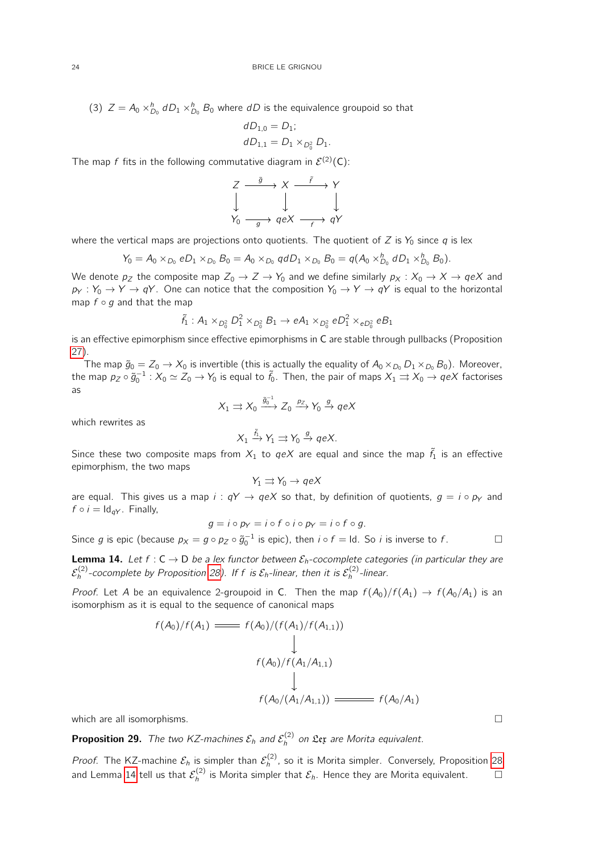(3)  $Z = A_0 \times_{D_0}^{h} dD_1 \times_{D_0}^{h} B_0$  where dD is the equivalence groupoid so that

$$
dD_{1,0} = D_1;
$$
  

$$
dD_{1,1} = D_1 \times_{D_0^2} D_1.
$$

The map  $f$  fits in the following commutative diagram in  $\mathcal{E}^{(2)}(\mathsf{C})$ :



where the vertical maps are projections onto quotients. The quotient of Z is  $Y_0$  since q is lex

$$
Y_0 = A_0 \times_{D_0} e D_1 \times_{D_0} B_0 = A_0 \times_{D_0} q d D_1 \times_{D_0} B_0 = q (A_0 \times_{D_0}^h d D_1 \times_{D_0}^h B_0).
$$

We denote  $p_Z$  the composite map  $Z_0 \to Z \to Y_0$  and we define similarly  $p_X : X_0 \to X \to qeX$  and  $p_Y : Y_0 \to Y \to qY$ . One can notice that the composition  $Y_0 \to Y \to qY$  is equal to the horizontal map  $f \circ g$  and that the map

$$
\tilde{f}_1: A_1 \times_{D_0^2} D_1^2 \times_{D_0^2} B_1 \to eA_1 \times_{D_0^2} eD_1^2 \times_{eD_0^2} eB_1
$$

is an effective epimorphism since effective epimorphisms in C are stable through pullbacks (Proposition [27\)](#page-21-0).

The map  $\tilde{g}_0 = Z_0 \to X_0$  is invertible (this is actually the equality of  $A_0 \times_{D_0} D_1 \times_{D_0} B_0$ ). Moreover, the map  $p_Z\circ\tilde g_0^{-1}:X_0\simeq Z_0\to Y_0$  is equal to  $\tilde f_0.$  Then, the pair of maps  $X_1\rightrightarrows X_0\to qeX$  factorises as

$$
X_1 \rightrightarrows X_0 \xrightarrow{\tilde{g}_0^{-1}} Z_0 \xrightarrow{p_Z} Y_0 \xrightarrow{g} qeX
$$

which rewrites as

$$
X_1 \xrightarrow{\tilde{f}_1} Y_1 \rightrightarrows Y_0 \xrightarrow{g} qeX.
$$

Since these two composite maps from  $X_1$  to  $qeX$  are equal and since the map  $\tilde{f}_1$  is an effective epimorphism, the two maps

$$
Y_1 \rightrightarrows Y_0 \to qeX
$$

are equal. This gives us a map  $i : qY \rightarrow qeX$  so that, by definition of quotients,  $g = i \circ p_Y$  and  $f \circ i = Id_{qY}$ . Finally,

$$
g = i \circ p_Y = i \circ f \circ i \circ p_Y = i \circ f \circ g.
$$

Since g is epic (because  $p_X = g \circ p_Z \circ \tilde{g}_0^{-1}$  is epic), then  $i \circ f = \text{Id}$ . So  $i$  is inverse to  $f$ .

<span id="page-23-0"></span>**Lemma 14.** Let  $f : C \to D$  be a lex functor between  $\mathcal{E}_h$ -cocomplete categories (in particular they are  $\mathcal{E}_h^{(2)}$ -cocomplete by Proposition [28\)](#page-22-1). If f is  $\mathcal{E}_h$ -linear, then it is  $\mathcal{E}_h^{(2)}$ -linear.

*Proof.* Let A be an equivalence 2-groupoid in C. Then the map  $f(A_0)/f(A_1) \rightarrow f(A_0/A_1)$  is an isomorphism as it is equal to the sequence of canonical maps

$$
f(A_0)/f(A_1) \longrightarrow f(A_0)/(f(A_1)/f(A_{1,1}))
$$
  
\n
$$
\downarrow
$$
  
\n
$$
f(A_0)/f(A_1/A_{1,1})
$$
  
\n
$$
\downarrow
$$
  
\n
$$
f(A_0/(A_1/A_{1,1})) \longrightarrow f(A_0/A_1)
$$

which are all isomorphisms.

**Proposition 29.** The two KZ-machines  $\mathcal{E}_h$  and  $\mathcal{E}_h^{(2)}$  on  $\mathfrak{L}$ ex are Morita equivalent.

*Proof.* The KZ-machine  $\mathcal{E}_h$  is simpler than  $\mathcal{E}_h^{(2)}$ , so it is Morita simpler. Conversely, Proposition [28](#page-22-1) and Lemma [14](#page-23-0) tell us that  $\mathcal{E}_h^{(2)}$  is Morita simpler that  $\mathcal{E}_h$ . Hence they are Morita equivalent.  $\qquad \Box$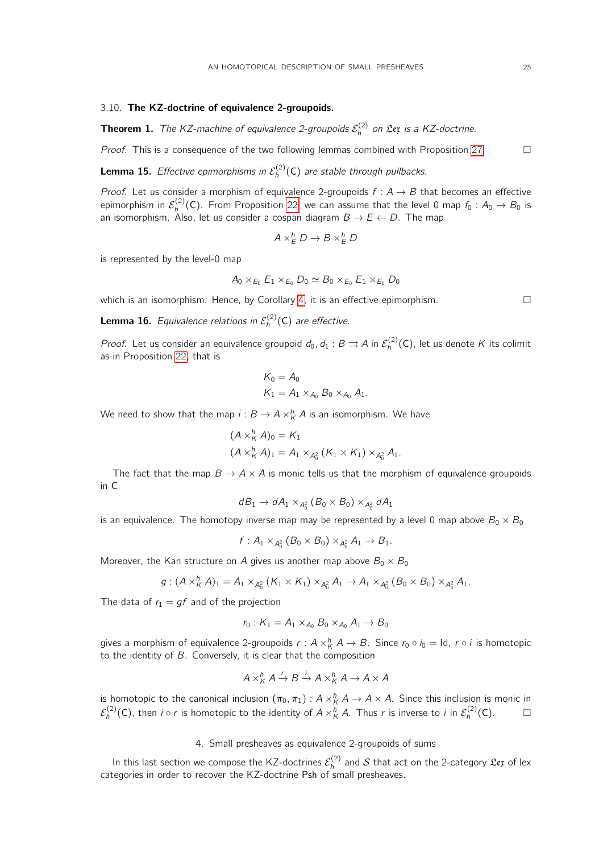# 3.10. The KZ-doctrine of equivalence 2-groupoids.

**Theorem 1.** The KZ-machine of equivalence 2-groupoids  $\mathcal{E}_h^{(2)}$  on  $\mathfrak{L}$ ex is a KZ-doctrine.

*Proof.* This is a consequence of the two following lemmas combined with Proposition [27.](#page-21-0)  $\Box$ 

**Lemma 15.** Effective epimorphisms in  $\mathcal{E}_h^{(2)}(C)$  are stable through pullbacks.

*Proof.* Let us consider a morphism of equivalence 2-groupoids  $f : A \rightarrow B$  that becomes an effective epimorphism in  $\mathcal{E}_h^{(2)}(\mathsf{C}).$  From Proposition [22,](#page-18-0) we can assume that the level 0 map  $f_0: A_0 \to B_0$  is an isomorphism. Also, let us consider a cospan diagram  $B \to E \leftarrow D$ . The map

$$
A \times^h_E D \to B \times^h_E D
$$

is represented by the level-0 map

$$
A_0 \times_{E_0} E_1 \times_{E_0} D_0 \simeq B_0 \times_{E_0} E_1 \times_{E_0} D_0
$$

which is an isomorphism. Hence, by Corollary [4,](#page-19-1) it is an effective epimorphism.  $\Box$ 

**Lemma 16.** Equivalence relations in  $\mathcal{E}_h^{(2)}(C)$  are effective.

*Proof.* Let us consider an equivalence groupoid  $d_0$ ,  $d_1: B \rightrightarrows A$  in  $\mathcal{E}_h^{(2)}(\mathsf{C})$ , let us denote  $K$  its colimit as in Proposition [22,](#page-18-0) that is

$$
K_0 = A_0
$$
  

$$
K_1 = A_1 \times_{A_0} B_0 \times_{A_0} A_1.
$$

We need to show that the map  $i: B \to A \times^h_K A$  is an isomorphism. We have

$$
(A \times_{K}^{h} A)_{0} = K_{1}
$$
  

$$
(A \times_{K}^{h} A)_{1} = A_{1} \times_{A_{0}^{2}} (K_{1} \times K_{1}) \times_{A_{0}^{2}} A_{1}.
$$

The fact that the map  $B \to A \times A$  is monic tells us that the morphism of equivalence groupoids in C

$$
dB_1 \to dA_1 \times_{A_0^2} (B_0 \times B_0) \times_{A_0^2} dA_1
$$

is an equivalence. The homotopy inverse map may be represented by a level 0 map above  $B_0 \times B_0$ 

$$
f: A_1 \times_{A_0^2} (B_0 \times B_0) \times_{A_0^2} A_1 \to B_1.
$$

Moreover, the Kan structure on A gives us another map above  $B_0 \times B_0$ 

$$
g:(A\times _K^h A)_1=A_1\times _{A_0^2}(K_1\times K_1)\times _{A_0^2}A_1\to A_1\times _{A_0^2}(B_0\times B_0)\times _{A_0^2}A_1.
$$

The data of  $r_1 = gf$  and of the projection

$$
r_0: K_1 = A_1 \times_{A_0} B_0 \times_{A_0} A_1 \to B_0
$$

gives a morphism of equivalence 2-groupoids  $r: A\times^h_K A \to B.$  Since  $r_0\circ i_0=\mathsf{Id},\ r\circ i$  is homotopic to the identity of B. Conversely, it is clear that the composition

$$
A \times^h_K A \xrightarrow{r} B \xrightarrow{i} A \times^h_K A \to A \times A
$$

is homotopic to the canonical inclusion  $(\pi_0, \pi_1): A \times^h_K A \to A \times A$ . Since this inclusion is monic in  $\mathcal{E}_h^{(2)}(\mathsf{C})$ , then  $i \circ r$  is homotopic to the identity of  $A \times_K^h A$ . Thus  $r$  is inverse to  $i$  in  $\mathcal{E}_h^{(2)}(\mathsf{C})$ .  $\hfill \Box$ 

# 4. Small presheaves as equivalence 2-groupoids of sums

<span id="page-24-0"></span>In this last section we compose the KZ-doctrines  $\mathcal{E}_h^{(2)}$  and  $\mathcal S$  that act on the 2-category  $\mathfrak{L}$ et of lex categories in order to recover the KZ-doctrine Psh of small presheaves.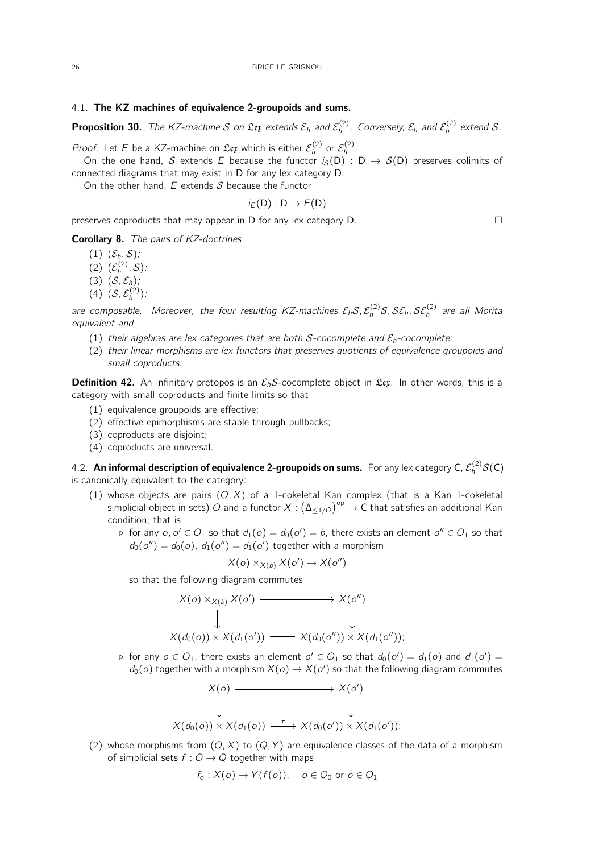### 4.1. The KZ machines of equivalence 2-groupoids and sums.

**Proposition 30.** The KZ-machine  $S$  on  $\mathfrak{L}$ extends  $\mathcal{E}_h$  and  $\mathcal{E}_h^{(2)}$ . Conversely,  $\mathcal{E}_h$  and  $\mathcal{E}_h^{(2)}$  extend  $S$ .

*Proof.* Let E be a KZ-machine on  $\mathfrak{L}\mathfrak{e}\mathfrak{x}$  which is either  $\mathcal{E}_h^{(2)}$  or  $\mathcal{E}_h^{(2)}$ .

On the one hand,  $\mathcal S$  extends  $E$  because the functor  $i_\mathcal S(\mathsf D)$  :  $\mathsf D\to\mathcal S(\mathsf D)$  preserves colimits of connected diagrams that may exist in D for any lex category D.

On the other hand,  $E$  extends  $S$  because the functor

$$
i_E(D):D\to E(D)
$$

preserves coproducts that may appear in D for any lex category  $D$ .

Corollary 8. The pairs of KZ-doctrines

- $(1)$   $(\mathcal{E}_h, \mathcal{S})$ ;
- (2)  $(\mathcal{E}_h^{(2)}, \mathcal{S})$ ;
- $(3)$   $(S, \mathcal{E}_h)$ ;
- (4)  $(S, \mathcal{E}_h^{(2)})$ ;

are composable. Moreover, the four resulting KZ-machines  $\mathcal E_h\mathcal S$ ,  $\mathcal E_h^{(2)}\mathcal S$ ,  $\mathcal S\mathcal E_h$ ,  $\mathcal S\mathcal E_h^{(2)}$  are all Morita equivalent and

- (1) their algebras are lex categories that are both S-cocomplete and  $\mathcal{E}_h$ -cocomplete;
- (2) their linear morphisms are lex functors that preserves quotients of equivalence groupoids and small coproducts.

<span id="page-25-0"></span>**Definition 42.** An infinitary pretopos is an  $\mathcal{E}_b$ S-cocomplete object in Lex. In other words, this is a category with small coproducts and finite limits so that

- (1) equivalence groupoids are effective;
- (2) effective epimorphisms are stable through pullbacks;
- (3) coproducts are disjoint;
- (4) coproducts are universal.

4.2. An informal description of equivalence 2-groupoids on sums. For any lex category C,  $\mathcal{E}_h^{(2)}\mathcal{S}(\mathsf{C})$ is canonically equivalent to the category:

- (1) whose objects are pairs  $(O, X)$  of a 1-cokeletal Kan complex (that is a Kan 1-cokeletal simplicial object in sets)  $O$  and a functor  $X: \left( \Delta_{\leq 1/O} \right)^{\mathsf{op}} \to \mathsf{C}$  that satisfies an additional Kan condition, that is
	- ⊳ for any  $o, o' \in O_1$  so that  $d_1(o) = d_0(o') = b$ , there exists an element  $o'' \in O_1$  so that  $d_0(o'') = d_0(o)$ ,  $d_1(o'') = d_1(o')$  together with a morphism

$$
X(o) \times_{X(b)} X(o') \to X(o'')
$$

so that the following diagram commutes

$$
X(o) \times_{X(b)} X(o') \longrightarrow X(o'')
$$
  
\n
$$
\downarrow \qquad \qquad \downarrow
$$
  
\n
$$
X(d_0(o)) \times X(d_1(o')) \longrightarrow X(d_0(o'')) \times X(d_1(o''));
$$

⊳ for any  $o \in O_1$ , there exists an element  $o' \in O_1$  so that  $d_0(o') = d_1(o)$  and  $d_1(o') =$  $d_0(o)$  together with a morphism  $X(o) \to X(o')$  so that the following diagram commutes

$$
X(o) \longrightarrow X(o')
$$
  
\n
$$
\downarrow \qquad \qquad \downarrow
$$
  
\n
$$
X(d_0(o)) \times X(d_1(o)) \longrightarrow X(d_0(o')) \times X(d_1(o'));
$$

(2) whose morphisms from  $(O, X)$  to  $(Q, Y)$  are equivalence classes of the data of a morphism of simplicial sets  $f: O \rightarrow Q$  together with maps

$$
f_o: X(o) \to Y(f(o)), \quad o \in O_0 \text{ or } o \in O_1
$$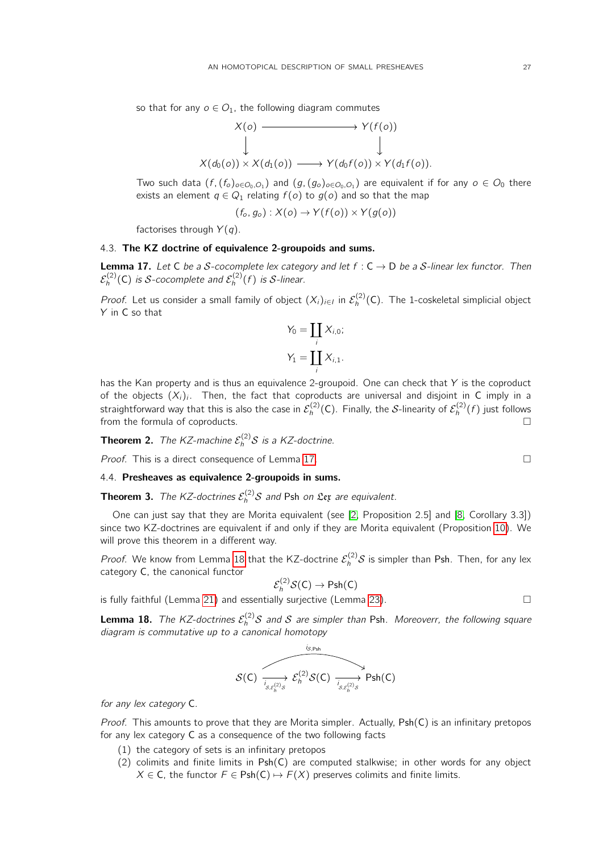so that for any  $o \in O_1$ , the following diagram commutes

$$
X(o) \longrightarrow Y(f(o))
$$
  
\n
$$
\downarrow \qquad \qquad \downarrow
$$
  
\n
$$
X(d_0(o)) \times X(d_1(o)) \longrightarrow Y(d_0f(o)) \times Y(d_1f(o)).
$$

Two such data  $(f,(f_o)_{o\in O_0, O_1})$  and  $(g,(g_o)_{o\in O_0, O_1})$  are equivalent if for any  $o\in O_0$  there exists an element  $q \in Q_1$  relating  $f(o)$  to  $g(o)$  and so that the map

$$
(f_o, g_o): X(o) \to Y(f(o)) \times Y(g(o))
$$

factorises through  $Y(q)$ .

### 4.3. The KZ doctrine of equivalence 2-groupoids and sums.

<span id="page-26-0"></span>**Lemma 17.** Let C be a S-cocomplete lex category and let  $f : C \rightarrow D$  be a S-linear lex functor. Then  $\mathcal{E}_h^{(2)}(\mathsf{C})$  is  $\mathcal{S}\text{-} \mathsf{cocomplete}$  and  $\mathcal{E}_h^{(2)}(f)$  is  $\mathcal{S}\text{-} \mathsf{linear}.$ 

*Proof.* Let us consider a small family of object  $(X_i)_{i \in I}$  in  $\mathcal{E}_h^{(2)}(C)$ . The 1-coskeletal simplicial object Y in C so that

$$
Y_0 = \coprod_i X_{i,0};
$$
  

$$
Y_1 = \coprod_i X_{i,1}.
$$

has the Kan property and is thus an equivalence 2-groupoid. One can check that  $Y$  is the coproduct of the objects  $(X_i)_i$ . Then, the fact that coproducts are universal and disjoint in C imply in a straightforward way that this is also the case in  $\mathcal E_h^{(2)}(\mathsf C).$  Finally, the  $\mathcal S$ -linearity of  $\mathcal E_h^{(2)}(f)$  just follows from the formula of coproducts.

**Theorem 2.** The KZ-machine 
$$
\mathcal{E}_h^{(2)}\mathcal{S}
$$
 is a KZ-doctrine.

Proof. This is a direct consequence of Lemma [17.](#page-26-0)

# 4.4. Presheaves as equivalence 2-groupoids in sums.

**Theorem 3.** The KZ-doctrines  $\mathcal{E}_h^{(2)}\mathcal{S}$  and Psh on  $\mathfrak{L}$ ex are equivalent.

One can just say that they are Morita equivalent (see [\[2,](#page-32-2) Proposition 2.5] and [\[8,](#page-32-8) Corollary 3.3]) since two KZ-doctrines are equivalent if and only if they are Morita equivalent (Proposition [10\)](#page-8-3). We will prove this theorem in a different way.

*Proof.* We know from Lemma [18](#page-26-1) that the KZ-doctrine  $\mathcal{E}_h^{(2)}\mathcal{S}$  is simpler than Psh. Then, for any lex category C, the canonical functor

$$
\mathcal{E}_h^{(2)}\mathcal{S}(\mathsf{C})\to \mathsf{Psh}(\mathsf{C})
$$

is fully faithful (Lemma [21\)](#page-27-0) and essentially surjective (Lemma [23\)](#page-28-0).

<span id="page-26-1"></span>**Lemma 18.** The KZ-doctrines  $\mathcal{E}_h^{(2)}\mathcal{S}$  and  $\mathcal{S}$  are simpler than Psh. Moreoverr, the following square diagram is commutative up to a canonical homotopy

$$
\mathcal{S}(C) \xrightarrow[\delta,\varepsilon_h^{(2)}]{} \mathcal{E}_h^{(2)}\mathcal{S}(C) \xrightarrow[\delta,\varepsilon_h^{(2)}]{} \text{Psh}(C)
$$

for any lex category C.

*Proof.* This amounts to prove that they are Morita simpler. Actually,  $Psh(C)$  is an infinitary pretopos for any lex category C as a consequence of the two following facts

- (1) the category of sets is an infinitary pretopos
- $(2)$  colimits and finite limits in Psh $(C)$  are computed stalkwise; in other words for any object  $X \in \mathsf{C}$ , the functor  $F \in \mathsf{Psh}(\mathsf{C}) \mapsto F(X)$  preserves colimits and finite limits.

$$
\Box
$$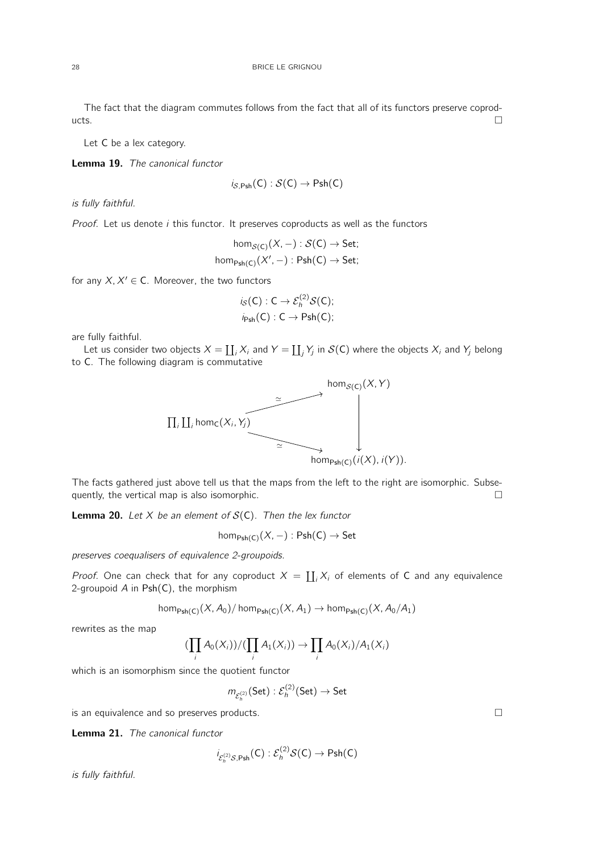The fact that the diagram commutes follows from the fact that all of its functors preserve coprod $ucts.$ 

Let C be a lex category.

<span id="page-27-1"></span>Lemma 19. The canonical functor

$$
i_{S,\mathsf{Psh}}(\mathsf{C}): \mathcal{S}(\mathsf{C}) \to \mathsf{Psh}(\mathsf{C})
$$

is fully faithful.

*Proof.* Let us denote  $i$  this functor. It preserves coproducts as well as the functors

$$
hom_{\mathcal{S}(C)}(X, -) : \mathcal{S}(C) \to Set;
$$
  
hom<sub>Psh(C)</sub> $(X', -)$  : Psh(C)  $\to$  Set;

for any  $X, X' \in \mathsf{C}$ . Moreover, the two functors

$$
i_{\mathcal{S}}(C):C\to \mathcal{E}_h^{(2)}\mathcal{S}(C);
$$
  

$$
i_{\mathsf{Psh}}(C):C\to \mathsf{Psh}(C);
$$

are fully faithful.

Let us consider two objects  $X = \coprod_i X_i$  and  $Y = \coprod_j Y_j$  in  $\mathcal{S}(\mathsf{C})$  where the objects  $X_i$  and  $Y_j$  belong to C. The following diagram is commutative



The facts gathered just above tell us that the maps from the left to the right are isomorphic. Subsequently, the vertical map is also isomorphic.  $\Box$ 

<span id="page-27-2"></span>**Lemma 20.** Let X be an element of  $S(C)$ . Then the lex functor

 $hom_{Psh(C)}(X, -) : Psh(C) \rightarrow Set$ 

preserves coequalisers of equivalence 2-groupoids.

*Proof.* One can check that for any coproduct  $X = \coprod_i X_i$  of elements of C and any equivalence 2-groupoid  $A$  in  $Psh(C)$ , the morphism

$$
\text{hom}_{\text{Psh}(C)}(X, A_0) / \text{hom}_{\text{Psh}(C)}(X, A_1) \to \text{hom}_{\text{Psh}(C)}(X, A_0 / A_1)
$$

rewrites as the map

$$
(\prod_i A_0(X_i))/(\prod_i A_1(X_i)) \rightarrow \prod_i A_0(X_i)/A_1(X_i)
$$

which is an isomorphism since the quotient functor

$$
m_{\mathcal{E}_h^{(2)}}(\mathsf{Set}) : \mathcal{E}_h^{(2)}(\mathsf{Set}) \to \mathsf{Set}
$$

is an equivalence and so preserves products.

<span id="page-27-0"></span>Lemma 21. The canonical functor

$$
i_{\mathcal{E}_h^{(2)}\mathcal{S}, \mathsf{Psh}}(\mathsf{C}): \mathcal{E}_h^{(2)}\mathcal{S}(\mathsf{C}) \to \mathsf{Psh}(\mathsf{C})
$$

is fully faithful.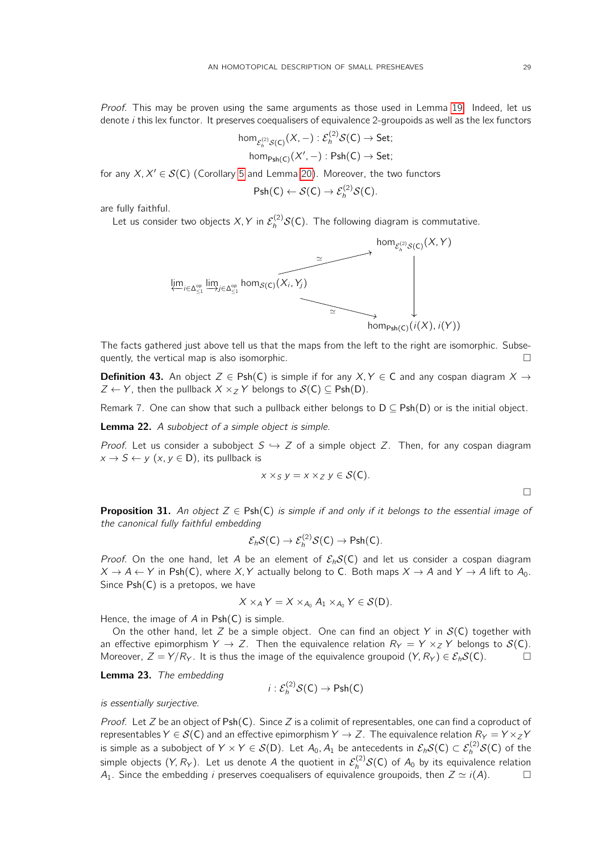Proof. This may be proven using the same arguments as those used in Lemma [19.](#page-27-1) Indeed, let us denote  $i$  this lex functor. It preserves coequalisers of equivalence 2-groupoids as well as the lex functors

$$
\mathsf{hom}_{\mathcal{E}_h^{(2)}\mathcal{S}(\mathsf{C})}(X,-):\mathcal{E}_h^{(2)}\mathcal{S}(\mathsf{C})\to \mathsf{Set};
$$
  

$$
\mathsf{hom}_{\mathsf{Psh}(\mathsf{C})}(X',-):\mathsf{Psh}(\mathsf{C})\to \mathsf{Set};
$$

for any  $X, X' \in \mathcal{S}(\mathsf{C})$  (Corollary [5](#page-19-2) and Lemma [20\)](#page-27-2). Moreover, the two functors

$$
\mathsf{Psh}(C) \leftarrow \mathcal{S}(C) \rightarrow \mathcal{E}_h^{(2)}\mathcal{S}(C).
$$

are fully faithful.

Let us consider two objects X, Y in  $\mathcal{E}_h^{(2)}\mathcal{S}(\mathsf{C})$ . The following diagram is commutative.



The facts gathered just above tell us that the maps from the left to the right are isomorphic. Subsequently, the vertical map is also isomorphic.

**Definition 43.** An object  $Z \in \text{Psh}(C)$  is simple if for any  $X, Y \in C$  and any cospan diagram  $X \rightarrow$  $Z \leftarrow Y$ , then the pullback  $X \times_Z Y$  belongs to  $\mathcal{S}(C) \subseteq \text{Psh}(D)$ .

Remark 7. One can show that such a pullback either belongs to  $D \subseteq Psh(D)$  or is the initial object.

**Lemma 22.** A subobject of a simple object is simple.

*Proof.* Let us consider a subobject  $S \hookrightarrow Z$  of a simple object Z. Then, for any cospan diagram  $x \to S \leftarrow y \ (x, y \in D)$ , its pullback is

$$
x \times_S y = x \times_Z y \in \mathcal{S}(\mathsf{C}).
$$

 $\Box$ 

**Proposition 31.** An object  $Z \in Psh(C)$  is simple if and only if it belongs to the essential image of the canonical fully faithful embedding

$$
\mathcal{E}_h \mathcal{S}(\mathsf{C}) \to \mathcal{E}_h^{(2)} \mathcal{S}(\mathsf{C}) \to \mathsf{Psh}(\mathsf{C}).
$$

*Proof.* On the one hand, let A be an element of  $\mathcal{E}_h S(C)$  and let us consider a cospan diagram  $X \to A \leftarrow Y$  in Psh(C), where X, Y actually belong to C. Both maps  $X \to A$  and  $Y \to A$  lift to  $A_0$ . Since Psh(C) is a pretopos, we have

$$
X \times_A Y = X \times_{A_0} A_1 \times_{A_0} Y \in \mathcal{S}(D).
$$

Hence, the image of  $A$  in  $Psh(C)$  is simple.

On the other hand, let Z be a simple object. One can find an object Y in  $S(C)$  together with an effective epimorphism  $Y \to Z$ . Then the equivalence relation  $R_Y = Y \times_Z Y$  belongs to  $\mathcal{S}(C)$ . Moreover,  $Z = Y/R<sub>Y</sub>$ . It is thus the image of the equivalence groupoid  $(Y, R<sub>Y</sub>) \in \mathcal{E}_h \mathcal{S}(\mathsf{C}).$ 

<span id="page-28-0"></span>Lemma 23. The embedding

$$
i:\mathcal{E}_h^{(2)}\mathcal{S}(\mathsf{C})\to\mathsf{Psh}(\mathsf{C})
$$

is essentially surjective.

*Proof.* Let Z be an object of Psh(C). Since Z is a colimit of representables, one can find a coproduct of representables  $Y \in \mathcal{S}(\mathsf{C})$  and an effective epimorphism  $Y \to Z$ . The equivalence relation  $R_Y = Y \times_Z Y$ is simple as a subobject of  $Y\times Y\in \mathcal{S}(\mathsf{D}).$  Let  $A_0,A_1$  be antecedents in  $\mathcal{E}_h\mathcal{S}(\mathsf{C})\subset \mathcal{E}_h^{(2)}\mathcal{S}(\mathsf{C})$  of the simple objects (Y, R<sub>Y</sub>). Let us denote A the quotient in  $\mathcal{E}_h^{(2)}\mathcal{S}(\mathsf{C})$  of  $A_0$  by its equivalence relation  $A_1$ . Since the embedding *i* preserves coequalisers of equivalence groupoids, then  $Z \simeq i(A)$ .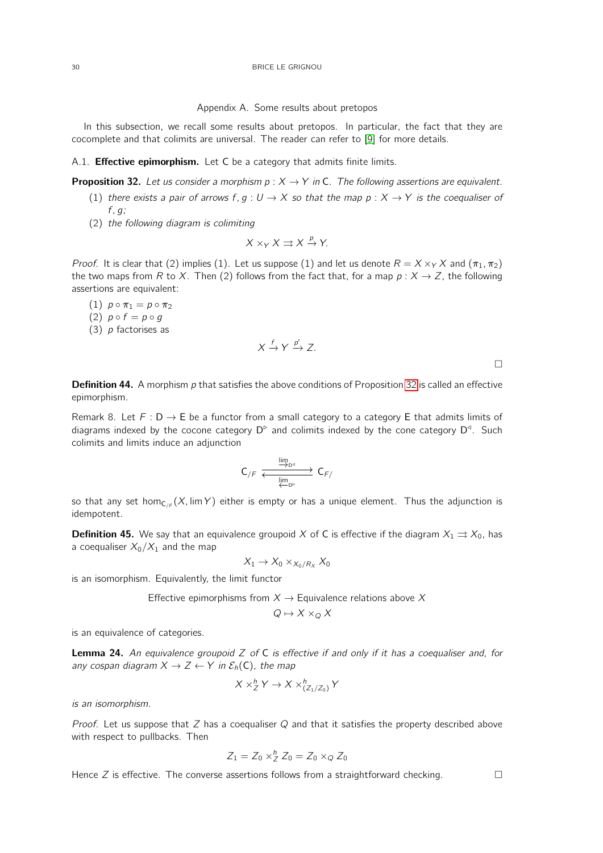Appendix A. Some results about pretopos

<span id="page-29-0"></span>In this subsection, we recall some results about pretopos. In particular, the fact that they are cocomplete and that colimits are universal. The reader can refer to [\[9\]](#page-32-9) for more details.

A.1. **Effective epimorphism.** Let C be a category that admits finite limits.

<span id="page-29-2"></span>**Proposition 32.** Let us consider a morphism  $p: X \rightarrow Y$  in C. The following assertions are equivalent.

- (1) there exists a pair of arrows f,  $q: U \to X$  so that the map  $p: X \to Y$  is the coequaliser of  $f, g;$
- (2) the following diagram is colimiting

$$
X \times_Y X \rightrightarrows X \xrightarrow{p} Y.
$$

*Proof.* It is clear that (2) implies (1). Let us suppose (1) and let us denote  $R = X \times_Y X$  and  $(\pi_1, \pi_2)$ the two maps from R to X. Then (2) follows from the fact that, for a map  $p: X \to Z$ , the following assertions are equivalent:

- (1)  $p \circ \pi_1 = p \circ \pi_2$
- (2)  $p \circ f = p \circ g$
- (3)  $p$  factorises as

$$
X\xrightarrow{f} Y\xrightarrow{p'} Z.
$$

 $\Box$ 

**Definition 44.** A morphism  $p$  that satisfies the above conditions of Proposition [32](#page-29-2) is called an effective epimorphism.

Remark 8. Let  $F: D \to E$  be a functor from a small category to a category E that admits limits of diagrams indexed by the cocone category  $D^{\triangleright}$  and colimits indexed by the cone category  $D^{\triangleleft}$ . Such colimits and limits induce an adjunction

$$
C_{/F} \xrightarrow[\underleftarrow{\lim_{D^{\triangle}} D^{\circ}}]{\underleftarrow{Im_{D^{\circ}}}} C_{F/}
$$

so that any set hom<sub>C/F</sub> (X, lim Y) either is empty or has a unique element. Thus the adjunction is idempotent.

**Definition 45.** We say that an equivalence groupoid X of C is effective if the diagram  $X_1 \rightrightarrows X_0$ , has a coequaliser  $X_0/X_1$  and the map

$$
X_1 \to X_0 \times_{X_0/R_X} X_0
$$

is an isomorphism. Equivalently, the limit functor

Effective epimorphisms from  $X \rightarrow$  Equivalence relations above X

$$
Q \mapsto X \times_Q X
$$

is an equivalence of categories.

<span id="page-29-1"></span>**Lemma 24.** An equivalence groupoid  $Z$  of  $C$  is effective if and only if it has a coequaliser and, for any cospan diagram  $X \to Z \leftarrow Y$  in  $\mathcal{E}_h(C)$ , the map

$$
X \times_Z^h Y \to X \times_{(Z_1/Z_0)}^h Y
$$

is an isomorphism.

Proof. Let us suppose that  $Z$  has a coequaliser  $Q$  and that it satisfies the property described above with respect to pullbacks. Then

$$
Z_1=Z_0\times_Z^h Z_0=Z_0\times_Q Z_0
$$

Hence Z is effective. The converse assertions follows from a straightforward checking.  $\Box$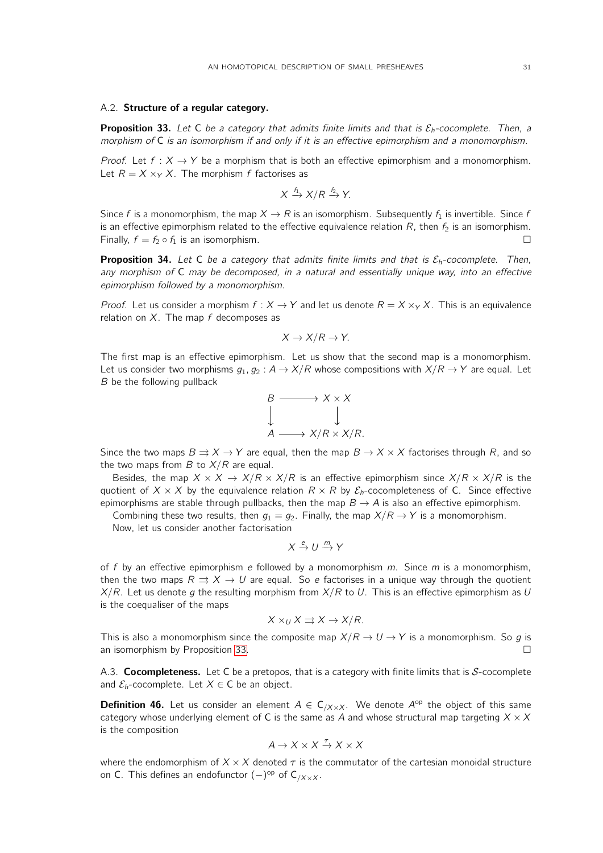## A.2. Structure of a regular category.

<span id="page-30-0"></span>**Proposition 33.** Let C be a category that admits finite limits and that is  $\mathcal{E}_h$ -cocomplete. Then, a morphism of C is an isomorphism if and only if it is an effective epimorphism and a monomorphism.

*Proof.* Let  $f : X \to Y$  be a morphism that is both an effective epimorphism and a monomorphism. Let  $R = X \times_Y X$ . The morphism f factorises as

$$
X \xrightarrow{f_1} X/R \xrightarrow{f_2} Y.
$$

Since f is a monomorphism, the map  $X \to R$  is an isomorphism. Subsequently  $f_1$  is invertible. Since f is an effective epimorphism related to the effective equivalence relation  $R$ , then  $f_2$  is an isomorphism. Finally,  $f = f_2 \circ f_1$  is an isomorphism.

**Proposition 34.** Let C be a category that admits finite limits and that is  $\mathcal{E}_h$ -cocomplete. Then, any morphism of C may be decomposed, in a natural and essentially unique way, into an effective epimorphism followed by a monomorphism.

*Proof.* Let us consider a morphism  $f : X \to Y$  and let us denote  $R = X \times_Y X$ . This is an equivalence relation on  $X$ . The map f decomposes as

$$
X \to X/R \to Y.
$$

The first map is an effective epimorphism. Let us show that the second map is a monomorphism. Let us consider two morphisms  $g_1, g_2 : A \to X/R$  whose compositions with  $X/R \to Y$  are equal. Let B be the following pullback

$$
\begin{array}{ccc}\n & B & \longrightarrow & X \times X \\
 & \downarrow & & \downarrow \\
A & \longrightarrow & X/R \times X/R.\n\end{array}
$$

Since the two maps  $B \rightrightarrows X \to Y$  are equal, then the map  $B \to X \times X$  factorises through R, and so the two maps from  $B$  to  $X/R$  are equal.

Besides, the map  $X \times X \rightarrow X/R \times X/R$  is an effective epimorphism since  $X/R \times X/R$  is the quotient of  $X \times X$  by the equivalence relation  $R \times R$  by  $\mathcal{E}_h$ -cocompleteness of C. Since effective epimorphisms are stable through pullbacks, then the map  $B \to A$  is also an effective epimorphism.

Combining these two results, then  $g_1 = g_2$ . Finally, the map  $X/R \rightarrow Y$  is a monomorphism.

Now, let us consider another factorisation

$$
X\xrightarrow{e} U\xrightarrow{m} Y
$$

of f by an effective epimorphism e followed by a monomorphism  $m$ . Since  $m$  is a monomorphism, then the two maps  $R \rightrightarrows X \to U$  are equal. So e factorises in a unique way through the quotient  $X/R$ . Let us denote g the resulting morphism from  $X/R$  to U. This is an effective epimorphism as U is the coequaliser of the maps

$$
X \times_U X \rightrightarrows X \to X/R.
$$

This is also a monomorphism since the composite map  $X/R \rightarrow U \rightarrow Y$  is a monomorphism. So g is an isomorphism by Proposition [33.](#page-30-0)

A.3. **Cocompleteness.** Let C be a pretopos, that is a category with finite limits that is  $S$ -cocomplete and  $\mathcal{E}_h$ -cocomplete. Let  $X \in \mathsf{C}$  be an object.

**Definition 46.** Let us consider an element  $A \in C_{/X \times X}$ . We denote  $A^{op}$  the object of this same category whose underlying element of C is the same as A and whose structural map targeting  $X \times X$ is the composition

$$
A \to X \times X \xrightarrow{\tau} X \times X
$$

where the endomorphism of  $X \times X$  denoted  $\tau$  is the commutator of the cartesian monoidal structure on C. This defines an endofunctor  $(-)$ <sup>op</sup> of C<sub>/X×X</sub>.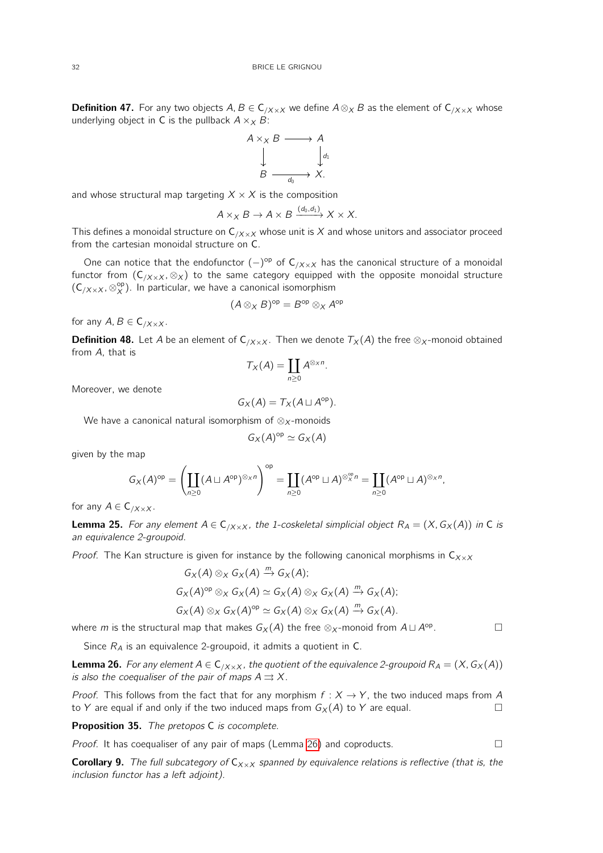**Definition 47.** For any two objects  $A, B \in C_{/X \times X}$  we define  $A \otimes_X B$  as the element of  $C_{/X \times X}$  whose underlying object in C is the pullback  $A \times_X B$ :



and whose structural map targeting  $X \times X$  is the composition

$$
A \times_X B \to A \times B \xrightarrow{(d_0, d_1)} X \times X.
$$

This defines a monoidal structure on  $C_{/X \times X}$  whose unit is X and whose unitors and associator proceed from the cartesian monoidal structure on C.

One can notice that the endofunctor  $(-)^{op}$  of  $C_{/X \times X}$  has the canonical structure of a monoidal functor from  $(C_{/X \times X}, \otimes_X)$  to the same category equipped with the opposite monoidal structure  $(C_{/X \times X}, \otimes^{\rm op}_X)$ . In particular, we have a canonical isomorphism

$$
(A\otimes_X B)^{\rm op}=B^{\rm op}\otimes_X A^{\rm op}
$$

for any  $A, B \in C_{/X \times X}$ .

**Definition 48.** Let A be an element of  $C_{/X \times X}$ . Then we denote  $T_X(A)$  the free  $\otimes_X$ -monoid obtained from A, that is

$$
T_X(A)=\coprod_{n\geq 0}A^{\otimes_X n}.
$$

Moreover, we denote

$$
G_X(A)=T_X(A\sqcup A^{\rm op}).
$$

We have a canonical natural isomorphism of  $\otimes_X$ -monoids

$$
G_X(A)^{\rm op} \simeq G_X(A)
$$

given by the map

$$
G_X(A)^{\rm op} = \left(\coprod_{n\geq 0} (A\sqcup A^{\rm op})^{\otimes_X n}\right)^{\rm op} = \coprod_{n\geq 0} (A^{\rm op}\sqcup A)^{\otimes_X^{\rm op} n} = \coprod_{n\geq 0} (A^{\rm op}\sqcup A)^{\otimes_X n},
$$

for any  $A \in \mathsf{C}_{/X \times X}$ .

**Lemma 25.** For any element  $A \in C_{/X \times X}$ , the 1-coskeletal simplicial object  $R_A = (X, G_X(A))$  in C is an equivalence 2-groupoid.

Proof. The Kan structure is given for instance by the following canonical morphisms in  $C_{X\times X}$ 

$$
G_X(A) \otimes_X G_X(A) \xrightarrow{m} G_X(A);
$$
  
\n
$$
G_X(A)^{\rm op} \otimes_X G_X(A) \simeq G_X(A) \otimes_X G_X(A) \xrightarrow{m} G_X(A);
$$
  
\n
$$
G_X(A) \otimes_X G_X(A)^{\rm op} \simeq G_X(A) \otimes_X G_X(A) \xrightarrow{m} G_X(A).
$$

where  $m$  is the structural map that makes  $G_\mathsf{X}(A)$  the free  $\otimes_\mathsf{X}$ -monoid from  $A\sqcup A^\mathsf{op}$ . — П

Since  $R_A$  is an equivalence 2-groupoid, it admits a quotient in C.

<span id="page-31-0"></span>**Lemma 26.** For any element  $A \in C_{/X \times X}$ , the quotient of the equivalence 2-groupoid  $R_A = (X, G_X(A))$ is also the coequaliser of the pair of maps  $A \rightrightarrows X$ .

*Proof.* This follows from the fact that for any morphism  $f: X \rightarrow Y$ , the two induced maps from A to Y are equal if and only if the two induced maps from  $G_X(A)$  to Y are equal.

Proposition 35. The pretopos C is cocomplete.

*Proof.* It has coequaliser of any pair of maps (Lemma [26\)](#page-31-0) and coproducts.  $\Box$ 

**Corollary 9.** The full subcategory of  $C_{X\times X}$  spanned by equivalence relations is reflective (that is, the inclusion functor has a left adjoint).

$$
\sqcup
$$